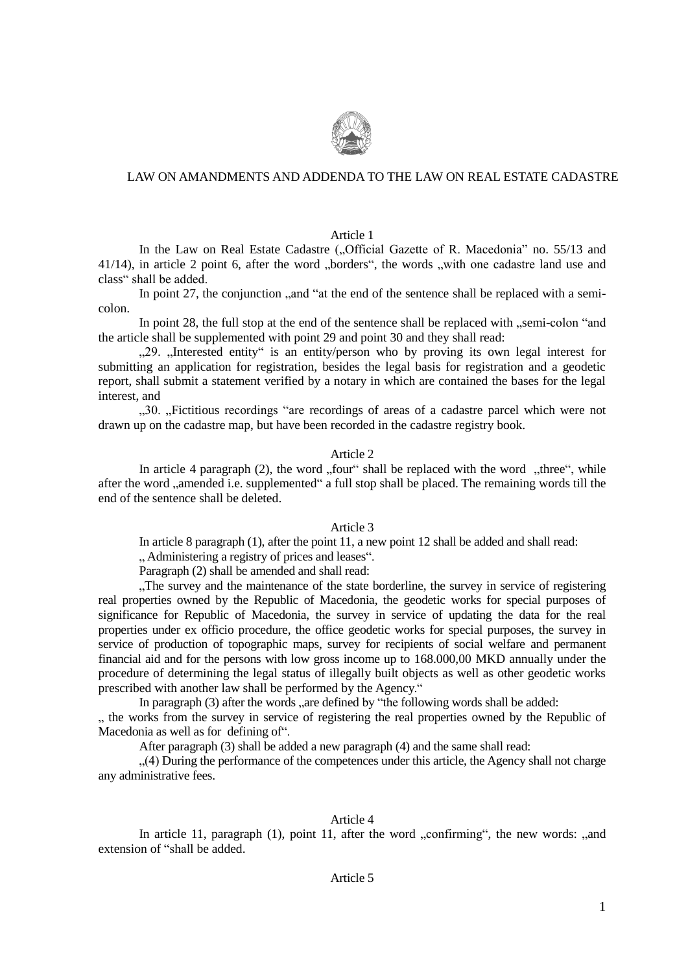

# LAW ON AMANDMENTS AND ADDENDA TO THE LAW ON REAL ESTATE CADASTRE

Article 1

In the Law on Real Estate Cadastre ("Official Gazette of R. Macedonia" no. 55/13 and  $41/14$ ), in article 2 point 6, after the word "borders", the words "with one cadastre land use and class" shall be added.

In point 27, the conjunction ,, and "at the end of the sentence shall be replaced with a semicolon.

In point 28, the full stop at the end of the sentence shall be replaced with ... semi-colon "and" the article shall be supplemented with point 29 and point 30 and they shall read:

..29. "Interested entity" is an entity/person who by proving its own legal interest for submitting an application for registration, besides the legal basis for registration and a geodetic report, shall submit a statement verified by a notary in which are contained the bases for the legal interest, and

"30. "Fictitious recordings "are recordings of areas of a cadastre parcel which were not drawn up on the cadastre map, but have been recorded in the cadastre registry book.

## Article 2

In article 4 paragraph  $(2)$ , the word "four" shall be replaced with the word "three", while after the word "amended i.e. supplemented" a full stop shall be placed. The remaining words till the end of the sentence shall be deleted.

## Article 3

In article 8 paragraph (1), after the point 11, a new point 12 shall be added and shall read:

... Administering a registry of prices and leases".

Paragraph (2) shall be amended and shall read:

. The survey and the maintenance of the state borderline, the survey in service of registering real properties owned by the Republic of Macedonia, the geodetic works for special purposes of significance for Republic of Macedonia, the survey in service of updating the data for the real properties under ex officio procedure, the office geodetic works for special purposes, the survey in service of production of topographic maps, survey for recipients of social welfare and permanent financial aid and for the persons with low gross income up to 168.000,00 MKD annually under the procedure of determining the legal status of illegally built objects as well as other geodetic works prescribed with another law shall be performed by the Agency."

In paragraph  $(3)$  after the words ... are defined by "the following words shall be added:

..., the works from the survey in service of registering the real properties owned by the Republic of Macedonia as well as for defining of".

After paragraph (3) shall be added a new paragraph (4) and the same shall read:

"(4) During the performance of the competences under this article, the Agency shall not charge any administrative fees.

## Article 4

In article 11, paragraph  $(1)$ , point 11, after the word  $\alpha$ , confirming", the new words:  $\alpha$ , and extension of "shall be added.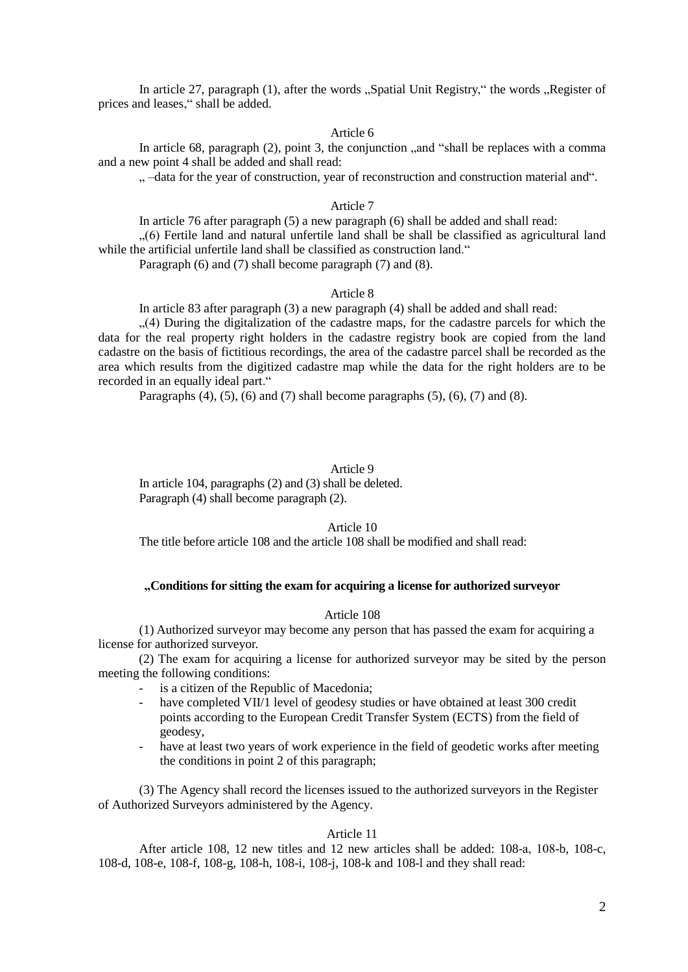In article 27, paragraph (1), after the words "Spatial Unit Registry," the words "Register of prices and leases," shall be added.

### Article 6

In article 68, paragraph  $(2)$ , point 3, the conjunction  $\ldots$  and "shall be replaces with a comma and a new point 4 shall be added and shall read:

".  $-d$ ata for the year of construction, year of reconstruction and construction material and".

## Article 7

In article 76 after paragraph (5) a new paragraph (6) shall be added and shall read: ...(6) Fertile land and natural unfertile land shall be shall be classified as agricultural land while the artificial unfertile land shall be classified as construction land."

Paragraph (6) and (7) shall become paragraph (7) and (8).

#### Article 8

In article 83 after paragraph (3) a new paragraph (4) shall be added and shall read:

 $(4)$  During the digitalization of the cadastre maps, for the cadastre parcels for which the data for the real property right holders in the cadastre registry book are copied from the land cadastre on the basis of fictitious recordings, the area of the cadastre parcel shall be recorded as the area which results from the digitized cadastre map while the data for the right holders are to be recorded in an equally ideal part."

Paragraphs  $(4)$ ,  $(5)$ ,  $(6)$  and  $(7)$  shall become paragraphs  $(5)$ ,  $(6)$ ,  $(7)$  and  $(8)$ .

## Article 9

In article 104, paragraphs (2) and (3) shall be deleted. Paragraph (4) shall become paragraph (2).

## Article 10

The title before article 108 and the article 108 shall be modified and shall read:

## **"Conditions for sitting the exam for acquiring a license for authorized surveyor**

### Article 108

(1) Authorized surveyor may become any person that has passed the exam for acquiring a license for authorized surveyor.

(2) The exam for acquiring a license for authorized surveyor may be sited by the person meeting the following conditions:

- is a citizen of the Republic of Macedonia;
- have completed VII/1 level of geodesy studies or have obtained at least 300 credit points according to the European Credit Transfer System (ECTS) from the field of geodesy,
- have at least two years of work experience in the field of geodetic works after meeting the conditions in point 2 of this paragraph;

(3) The Agency shall record the licenses issued to the authorized surveyors in the Register of Authorized Surveyors administered by the Agency.

# Article 11

After article 108, 12 new titles and 12 new articles shall be added: 108-а, 108-b, 108-c, 108-d, 108-e, 108-f, 108-g, 108-h, 108-i, 108-j, 108-k and 108-l and they shall read: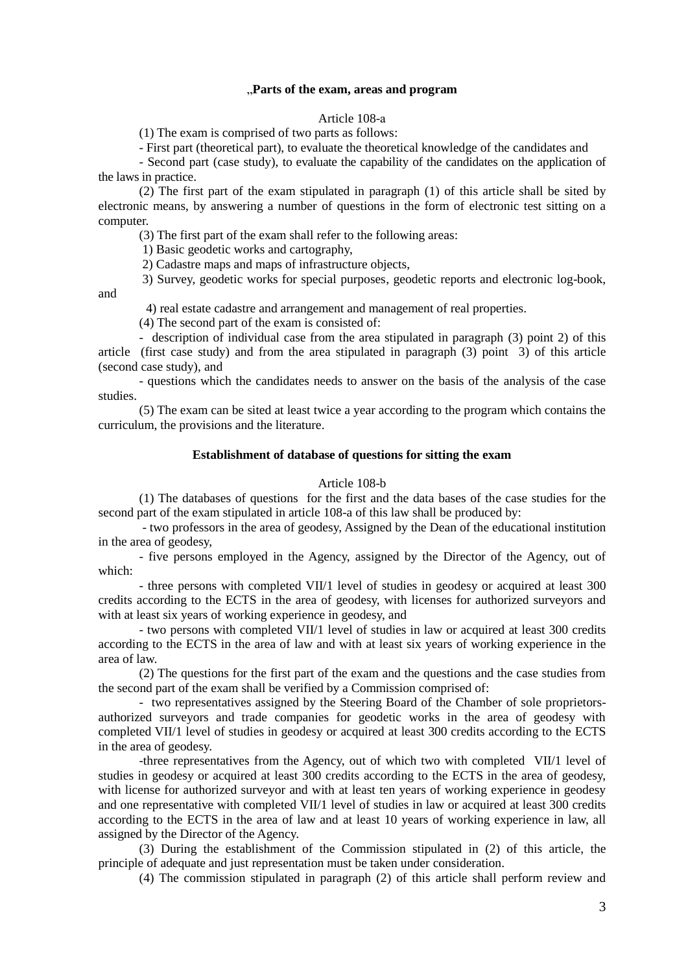## "**Parts of the exam, areas and program**

Article 108-а

(1) The exam is comprised of two parts as follows:

- First part (theoretical part), to evaluate the theoretical knowledge of the candidates and

- Second part (case study), to evaluate the capability of the candidates on the application of the laws in practice.

(2) The first part of the exam stipulated in paragraph (1) of this article shall be sited by electronic means, by answering a number of questions in the form of electronic test sitting on a computer.

(3) The first part of the exam shall refer to the following areas:

1) Basic geodetic works and cartography,

2) Cadastre maps and maps of infrastructure objects,

3) Survey, geodetic works for special purposes, geodetic reports and electronic log-book,

and

4) real estate cadastre and arrangement and management of real properties.

(4) The second part of the exam is consisted of:

- description of individual case from the area stipulated in paragraph (3) point 2) of this article (first case study) and from the area stipulated in paragraph (3) point 3) of this article (second case study), and

- questions which the candidates needs to answer on the basis of the analysis of the case studies.

(5) The exam can be sited at least twice a year according to the program which contains the curriculum, the provisions and the literature.

## **Establishment of database of questions for sitting the exam**

#### Article 108-b

(1) The databases of questions for the first and the data bases of the case studies for the second part of the exam stipulated in article 108-a of this law shall be produced by:

- two professors in the area of geodesy, Assigned by the Dean of the educational institution in the area of geodesy,

- five persons employed in the Agency, assigned by the Director of the Agency, out of which:

- three persons with completed VII/1 level of studies in geodesy or acquired at least 300 credits according to the ECTS in the area of geodesy, with licenses for authorized surveyors and with at least six years of working experience in geodesy, and

- two persons with completed VII/1 level of studies in law or acquired at least 300 credits according to the ECTS in the area of law and with at least six years of working experience in the area of law.

(2) The questions for the first part of the exam and the questions and the case studies from the second part of the exam shall be verified by a Commission comprised of:

- two representatives assigned by the Steering Board of the Chamber of sole proprietorsauthorized surveyors and trade companies for geodetic works in the area of geodesy with completed VII/1 level of studies in geodesy or acquired at least 300 credits according to the ECTS in the area of geodesy.

-three representatives from the Agency, out of which two with completed VII/1 level of studies in geodesy or acquired at least 300 credits according to the ECTS in the area of geodesy, with license for authorized surveyor and with at least ten years of working experience in geodesy and one representative with completed VII/1 level of studies in law or acquired at least 300 credits according to the ECTS in the area of law and at least 10 years of working experience in law, all assigned by the Director of the Agency.

(3) During the establishment of the Commission stipulated in (2) of this article, the principle of adequate and just representation must be taken under consideration.

(4) The commission stipulated in paragraph (2) of this article shall perform review and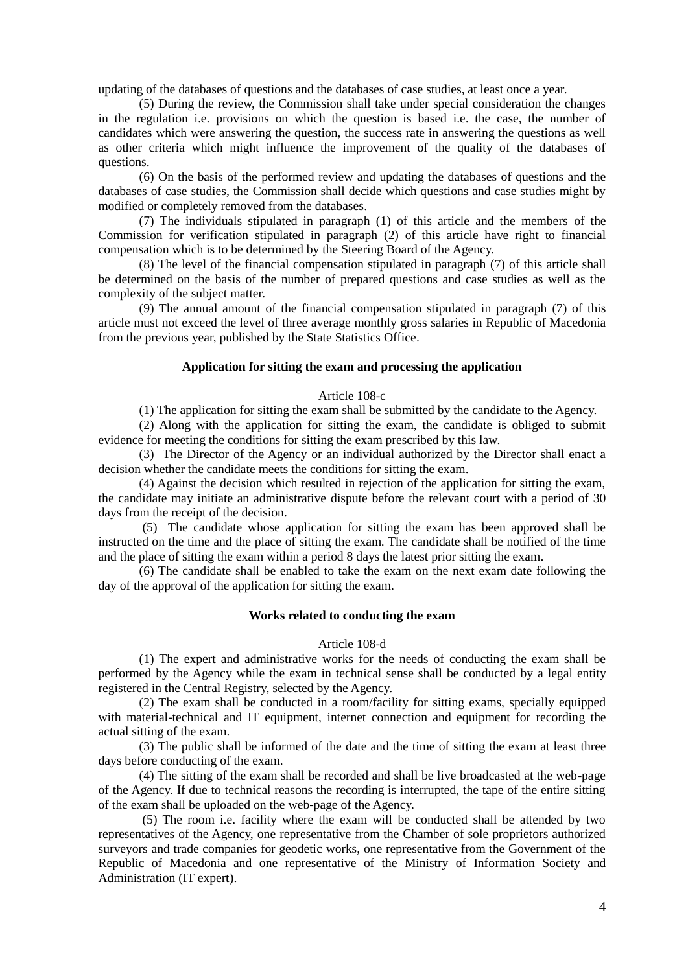updating of the databases of questions and the databases of case studies, at least once a year.

(5) During the review, the Commission shall take under special consideration the changes in the regulation i.e. provisions on which the question is based i.e. the case, the number of candidates which were answering the question, the success rate in answering the questions as well as other criteria which might influence the improvement of the quality of the databases of questions.

(6) On the basis of the performed review and updating the databases of questions and the databases of case studies, the Commission shall decide which questions and case studies might by modified or completely removed from the databases.

(7) The individuals stipulated in paragraph (1) of this article and the members of the Commission for verification stipulated in paragraph (2) of this article have right to financial compensation which is to be determined by the Steering Board of the Agency.

(8) The level of the financial compensation stipulated in paragraph (7) of this article shall be determined on the basis of the number of prepared questions and case studies as well as the complexity of the subject matter.

(9) The annual amount of the financial compensation stipulated in paragraph (7) of this article must not exceed the level of three average monthly gross salaries in Republic of Macedonia from the previous year, published by the State Statistics Office.

## **Application for sitting the exam and processing the application**

### Article 108-c

(1) The application for sitting the exam shall be submitted by the candidate to the Agency.

(2) Along with the application for sitting the exam, the candidate is obliged to submit evidence for meeting the conditions for sitting the exam prescribed by this law.

(3) The Director of the Agency or an individual authorized by the Director shall enact a decision whether the candidate meets the conditions for sitting the exam.

(4) Against the decision which resulted in rejection of the application for sitting the exam, the candidate may initiate an administrative dispute before the relevant court with a period of 30 days from the receipt of the decision.

(5) The candidate whose application for sitting the exam has been approved shall be instructed on the time and the place of sitting the exam. The candidate shall be notified of the time and the place of sitting the exam within a period 8 days the latest prior sitting the exam.

(6) The candidate shall be enabled to take the exam on the next exam date following the day of the approval of the application for sitting the exam.

## **Works related to conducting the exam**

#### Article 108-d

(1) The expert and administrative works for the needs of conducting the exam shall be performed by the Agency while the exam in technical sense shall be conducted by a legal entity registered in the Central Registry, selected by the Agency.

(2) The exam shall be conducted in a room/facility for sitting exams, specially equipped with material-technical and IT equipment, internet connection and equipment for recording the actual sitting of the exam.

(3) The public shall be informed of the date and the time of sitting the exam at least three days before conducting of the exam.

(4) The sitting of the exam shall be recorded and shall be live broadcasted at the web-page of the Agency. If due to technical reasons the recording is interrupted, the tape of the entire sitting of the exam shall be uploaded on the web-page of the Agency.

(5) The room i.e. facility where the exam will be conducted shall be attended by two representatives of the Agency, one representative from the Chamber of sole proprietors authorized surveyors and trade companies for geodetic works, one representative from the Government of the Republic of Macedonia and one representative of the Ministry of Information Society and Administration (IT expert).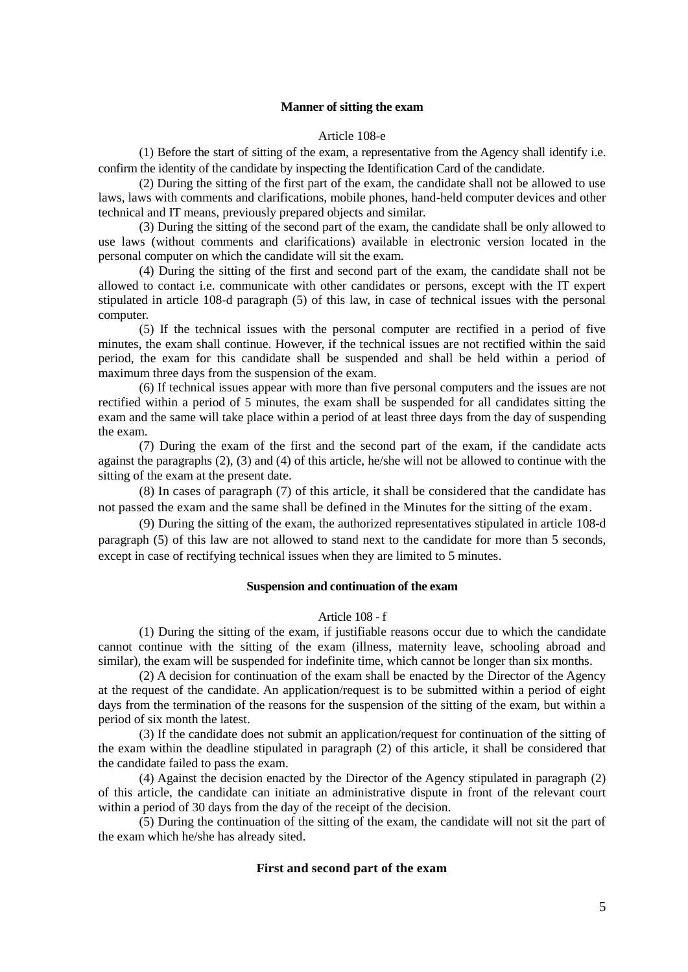# **Manner of sitting the exam**

### Article 108-e

(1) Before the start of sitting of the exam, a representative from the Agency shall identify i.e. confirm the identity of the candidate by inspecting the Identification Card of the candidate.

(2) During the sitting of the first part of the exam, the candidate shall not be allowed to use laws, laws with comments and clarifications, mobile phones, hand-held computer devices and other technical and IT means, previously prepared objects and similar.

(3) During the sitting of the second part of the exam, the candidate shall be only allowed to use laws (without comments and clarifications) available in electronic version located in the personal computer on which the candidate will sit the exam.

(4) During the sitting of the first and second part of the exam, the candidate shall not be allowed to contact i.e. communicate with other candidates or persons, except with the IT expert stipulated in article 108-d paragraph (5) of this law, in case of technical issues with the personal computer.

(5) If the technical issues with the personal computer are rectified in a period of five minutes, the exam shall continue. However, if the technical issues are not rectified within the said period, the exam for this candidate shall be suspended and shall be held within a period of maximum three days from the suspension of the exam.

(6) If technical issues appear with more than five personal computers and the issues are not rectified within a period of 5 minutes, the exam shall be suspended for all candidates sitting the exam and the same will take place within a period of at least three days from the day of suspending the exam.

(7) During the exam of the first and the second part of the exam, if the candidate acts against the paragraphs (2), (3) and (4) of this article, he/she will not be allowed to continue with the sitting of the exam at the present date.

(8) In cases of paragraph (7) of this article, it shall be considered that the candidate has not passed the exam and the same shall be defined in the Minutes for the sitting of the exam.

(9) During the sitting of the exam, the authorized representatives stipulated in article 108-d paragraph (5) of this law are not allowed to stand next to the candidate for more than 5 seconds, except in case of rectifying technical issues when they are limited to 5 minutes.

## **Suspension and continuation of the exam**

## Article 108 - f

(1) During the sitting of the exam, if justifiable reasons occur due to which the candidate cannot continue with the sitting of the exam (illness, maternity leave, schooling abroad and similar), the exam will be suspended for indefinite time, which cannot be longer than six months.

(2) A decision for continuation of the exam shall be enacted by the Director of the Agency at the request of the candidate. An application/request is to be submitted within a period of eight days from the termination of the reasons for the suspension of the sitting of the exam, but within a period of six month the latest.

(3) If the candidate does not submit an application/request for continuation of the sitting of the exam within the deadline stipulated in paragraph (2) of this article, it shall be considered that the candidate failed to pass the exam.

(4) Against the decision enacted by the Director of the Agency stipulated in paragraph (2) of this article, the candidate can initiate an administrative dispute in front of the relevant court within a period of 30 days from the day of the receipt of the decision.

(5) During the continuation of the sitting of the exam, the candidate will not sit the part of the exam which he/she has already sited.

#### **First and second part of the exam**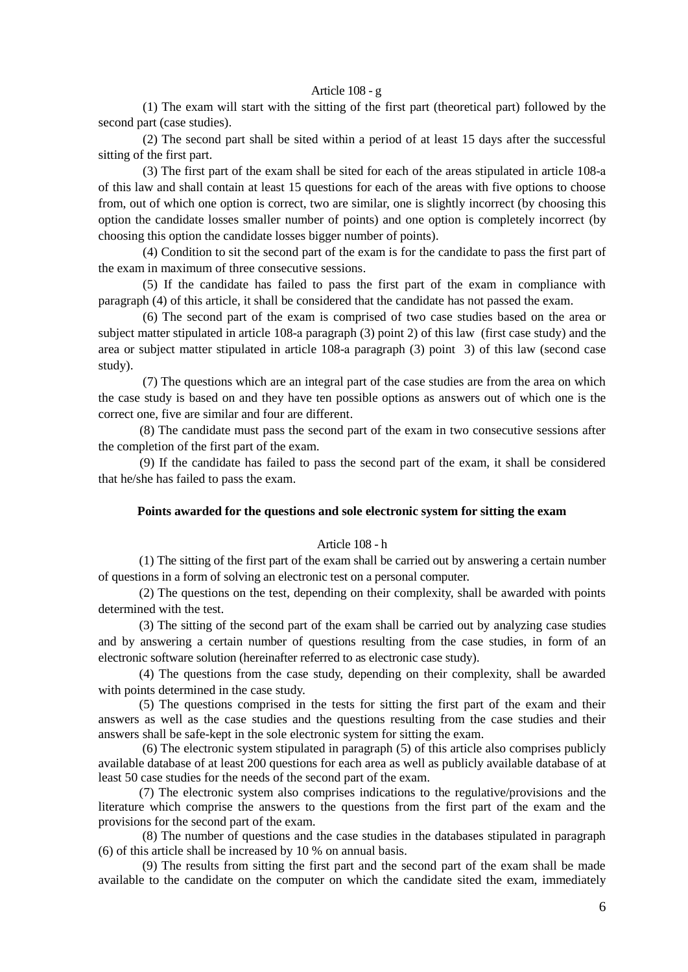## Article 108 - g

 (1) The exam will start with the sitting of the first part (theoretical part) followed by the second part (case studies).

 (2) The second part shall be sited within a period of at least 15 days after the successful sitting of the first part.

 (3) The first part of the exam shall be sited for each of the areas stipulated in article 108-а of this law and shall contain at least 15 questions for each of the areas with five options to choose from, out of which one option is correct, two are similar, one is slightly incorrect (by choosing this option the candidate losses smaller number of points) and one option is completely incorrect (by choosing this option the candidate losses bigger number of points).

 (4) Condition to sit the second part of the exam is for the candidate to pass the first part of the exam in maximum of three consecutive sessions.

 (5) If the candidate has failed to pass the first part of the exam in compliance with paragraph (4) of this article, it shall be considered that the candidate has not passed the exam.

 (6) The second part of the exam is comprised of two case studies based on the area or subject matter stipulated in article 108-а paragraph (3) point 2) of this law (first case study) and the area or subject matter stipulated in article 108-а paragraph (3) point 3) of this law (second case study).

 (7) The questions which are an integral part of the case studies are from the area on which the case study is based on and they have ten possible options as answers out of which one is the correct one, five are similar and four are different.

 (8) The candidate must pass the second part of the exam in two consecutive sessions after the completion of the first part of the exam.

 (9) If the candidate has failed to pass the second part of the exam, it shall be considered that he/she has failed to pass the exam.

## **Points awarded for the questions and sole electronic system for sitting the exam**

#### Article 108 - h

(1) The sitting of the first part of the exam shall be carried out by answering a certain number of questions in a form of solving an electronic test on a personal computer.

(2) The questions on the test, depending on their complexity, shall be awarded with points determined with the test.

(3) The sitting of the second part of the exam shall be carried out by analyzing case studies and by answering a certain number of questions resulting from the case studies, in form of an electronic software solution (hereinafter referred to as electronic case study).

(4) The questions from the case study, depending on their complexity, shall be awarded with points determined in the case study.

(5) The questions comprised in the tests for sitting the first part of the exam and their answers as well as the case studies and the questions resulting from the case studies and their answers shall be safe-kept in the sole electronic system for sitting the exam.

(6) The electronic system stipulated in paragraph (5) of this article also comprises publicly available database of at least 200 questions for each area as well as publicly available database of at least 50 case studies for the needs of the second part of the exam.

(7) The electronic system also comprises indications to the regulative/provisions and the literature which comprise the answers to the questions from the first part of the exam and the provisions for the second part of the exam.

(8) The number of questions and the case studies in the databases stipulated in paragraph (6) of this article shall be increased by 10 % on annual basis.

(9) The results from sitting the first part and the second part of the exam shall be made available to the candidate on the computer on which the candidate sited the exam, immediately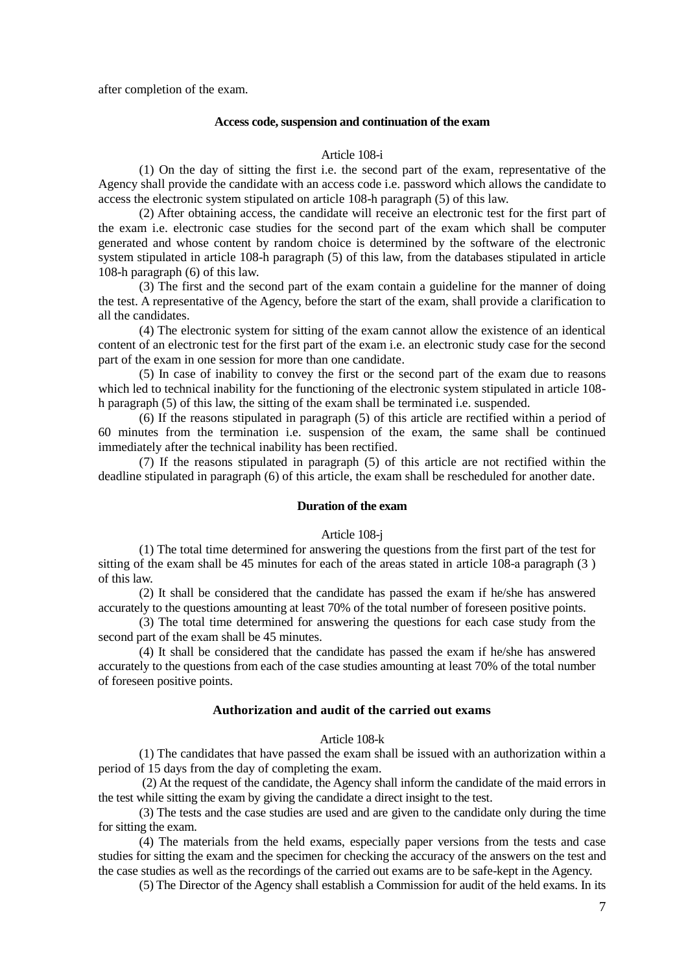after completion of the exam.

#### **Access code, suspension and continuation of the exam**

### Article 108-i

(1) On the day of sitting the first i.e. the second part of the exam, representative of the Agency shall provide the candidate with an access code i.e. password which allows the candidate to access the electronic system stipulated on article 108-h paragraph (5) of this law.

(2) After obtaining access, the candidate will receive an electronic test for the first part of the exam i.e. electronic case studies for the second part of the exam which shall be computer generated and whose content by random choice is determined by the software of the electronic system stipulated in article 108-h paragraph (5) of this law, from the databases stipulated in article 108-h paragraph (6) of this law.

(3) The first and the second part of the exam contain a guideline for the manner of doing the test. A representative of the Agency, before the start of the exam, shall provide a clarification to all the candidates.

(4) The electronic system for sitting of the exam cannot allow the existence of an identical content of an electronic test for the first part of the exam i.e. an electronic study case for the second part of the exam in one session for more than one candidate.

(5) In case of inability to convey the first or the second part of the exam due to reasons which led to technical inability for the functioning of the electronic system stipulated in article 108 h paragraph (5) of this law, the sitting of the exam shall be terminated i.e. suspended.

(6) If the reasons stipulated in paragraph (5) of this article are rectified within a period of 60 minutes from the termination i.e. suspension of the exam, the same shall be continued immediately after the technical inability has been rectified.

(7) If the reasons stipulated in paragraph (5) of this article are not rectified within the deadline stipulated in paragraph (6) of this article, the exam shall be rescheduled for another date.

### **Duration of the exam**

#### Article 108-j

(1) The total time determined for answering the questions from the first part of the test for sitting of the exam shall be 45 minutes for each of the areas stated in article 108-а paragraph (3 ) of this law.

(2) It shall be considered that the candidate has passed the exam if he/she has answered accurately to the questions amounting at least 70% of the total number of foreseen positive points.

(3) The total time determined for answering the questions for each case study from the second part of the exam shall be 45 minutes.

(4) It shall be considered that the candidate has passed the exam if he/she has answered accurately to the questions from each of the case studies amounting at least 70% of the total number of foreseen positive points.

### **Authorization and audit of the carried out exams**

## Article 108-k

(1) The candidates that have passed the exam shall be issued with an authorization within a period of 15 days from the day of completing the exam.

(2) At the request of the candidate, the Agency shall inform the candidate of the maid errors in the test while sitting the exam by giving the candidate a direct insight to the test.

(3) The tests and the case studies are used and are given to the candidate only during the time for sitting the exam.

(4) The materials from the held exams, especially paper versions from the tests and case studies for sitting the exam and the specimen for checking the accuracy of the answers on the test and the case studies as well as the recordings of the carried out exams are to be safe-kept in the Agency.

(5) The Director of the Agency shall establish a Commission for audit of the held exams. In its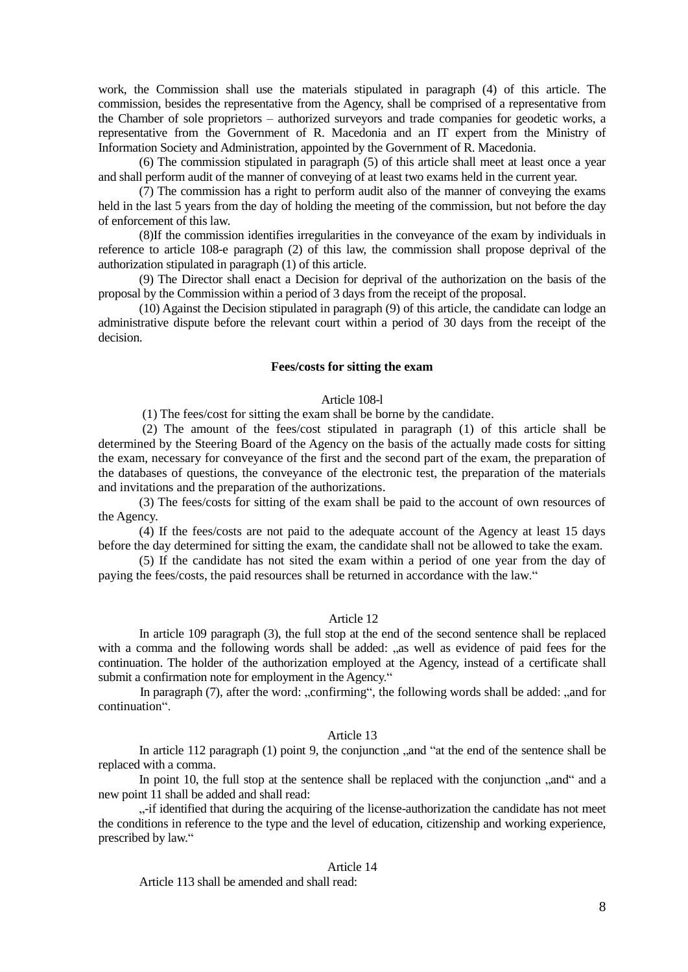work, the Commission shall use the materials stipulated in paragraph (4) of this article. The commission, besides the representative from the Agency, shall be comprised of a representative from the Chamber of sole proprietors – authorized surveyors and trade companies for geodetic works, a representative from the Government of R. Macedonia and an IT expert from the Ministry of Information Society and Administration, appointed by the Government of R. Macedonia.

(6) The commission stipulated in paragraph (5) of this article shall meet at least once a year and shall perform audit of the manner of conveying of at least two exams held in the current year.

(7) The commission has a right to perform audit also of the manner of conveying the exams held in the last 5 years from the day of holding the meeting of the commission, but not before the day of enforcement of this law.

(8)If the commission identifies irregularities in the conveyance of the exam by individuals in reference to article 108-e paragraph (2) of this law, the commission shall propose deprival of the authorization stipulated in paragraph (1) of this article.

(9) The Director shall enact a Decision for deprival of the authorization on the basis of the proposal by the Commission within a period of 3 days from the receipt of the proposal.

(10) Against the Decision stipulated in paragraph (9) of this article, the candidate can lodge an administrative dispute before the relevant court within a period of 30 days from the receipt of the decision.

#### **Fees/costs for sitting the exam**

## Article 108-l

(1) The fees/cost for sitting the exam shall be borne by the candidate.

(2) The amount of the fees/cost stipulated in paragraph (1) of this article shall be determined by the Steering Board of the Agency on the basis of the actually made costs for sitting the exam, necessary for conveyance of the first and the second part of the exam, the preparation of the databases of questions, the conveyance of the electronic test, the preparation of the materials and invitations and the preparation of the authorizations.

(3) The fees/costs for sitting of the exam shall be paid to the account of own resources of the Agency.

(4) If the fees/costs are not paid to the adequate account of the Agency at least 15 days before the day determined for sitting the exam, the candidate shall not be allowed to take the exam.

(5) If the candidate has not sited the exam within a period of one year from the day of paying the fees/costs, the paid resources shall be returned in accordance with the law."

#### Article 12

In article 109 paragraph (3), the full stop at the end of the second sentence shall be replaced with a comma and the following words shall be added: "as well as evidence of paid fees for the continuation. The holder of the authorization employed at the Agency, instead of a certificate shall submit a confirmation note for employment in the Agency."

In paragraph  $(7)$ , after the word: "confirming", the following words shall be added: "and for continuation".

# Article 13

In article 112 paragraph  $(1)$  point 9, the conjunction  $\alpha$  and "at the end of the sentence shall be replaced with a comma.

In point 10, the full stop at the sentence shall be replaced with the conjunction ...and a a new point 11 shall be added and shall read:

...-if identified that during the acquiring of the license-authorization the candidate has not meet the conditions in reference to the type and the level of education, citizenship and working experience, prescribed by law."

## Article 14

Article 113 shall be amended and shall read: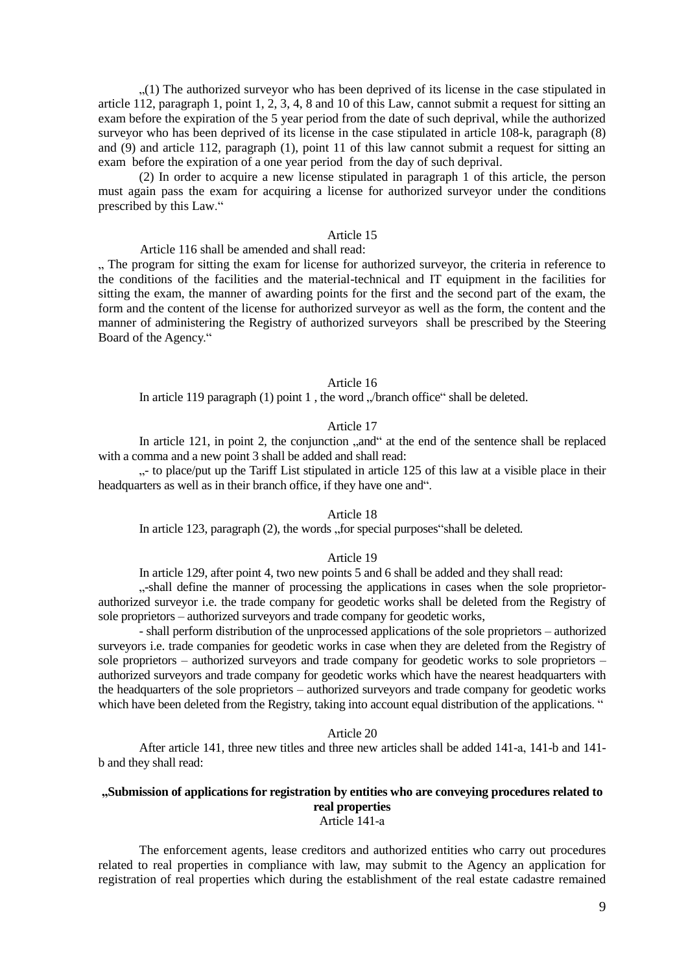$(1)$ . The authorized surveyor who has been deprived of its license in the case stipulated in article 112, paragraph 1, point 1, 2, 3, 4, 8 and 10 of this Law, cannot submit a request for sitting an exam before the expiration of the 5 year period from the date of such deprival, while the authorized surveyor who has been deprived of its license in the case stipulated in article 108-k, paragraph (8) and (9) and article 112, paragraph (1), point 11 of this law cannot submit a request for sitting an exam before the expiration of a one year period from the day of such deprival.

(2) In order to acquire a new license stipulated in paragraph 1 of this article, the person must again pass the exam for acquiring a license for authorized surveyor under the conditions prescribed by this Law."

## Article 15

Article 116 shall be amended and shall read:

..., The program for sitting the exam for license for authorized surveyor, the criteria in reference to the conditions of the facilities and the material-technical and IT equipment in the facilities for sitting the exam, the manner of awarding points for the first and the second part of the exam, the form and the content of the license for authorized surveyor as well as the form, the content and the manner of administering the Registry of authorized surveyors shall be prescribed by the Steering Board of the Agency."

#### Article 16

In article 119 paragraph  $(1)$  point 1, the word " $/$ branch office" shall be deleted.

### Article 17

In article 121, in point 2, the conjunction  $\alpha$ , and  $\alpha$  at the end of the sentence shall be replaced with a comma and a new point 3 shall be added and shall read:

 $\ldots$ - to place/put up the Tariff List stipulated in article 125 of this law at a visible place in their headquarters as well as in their branch office, if they have one and".

### Article 18

In article 123, paragraph (2), the words "for special purposes"shall be deleted.

#### Article 19

In article 129, after point 4, two new points 5 and 6 shall be added and they shall read:

...-shall define the manner of processing the applications in cases when the sole proprietorauthorized surveyor i.e. the trade company for geodetic works shall be deleted from the Registry of sole proprietors – authorized surveyors and trade company for geodetic works,

- shall perform distribution of the unprocessed applications of the sole proprietors – authorized surveyors i.e. trade companies for geodetic works in case when they are deleted from the Registry of sole proprietors – authorized surveyors and trade company for geodetic works to sole proprietors – authorized surveyors and trade company for geodetic works which have the nearest headquarters with the headquarters of the sole proprietors – authorized surveyors and trade company for geodetic works which have been deleted from the Registry, taking into account equal distribution of the applications. "

## Article 20

After article 141, three new titles and three new articles shall be added 141-а, 141-b and 141 b and they shall read:

### **"Submission of applications for registration by entities who are conveying procedures related to real properties** Article 141-а

The enforcement agents, lease creditors and authorized entities who carry out procedures related to real properties in compliance with law, may submit to the Agency an application for registration of real properties which during the establishment of the real estate cadastre remained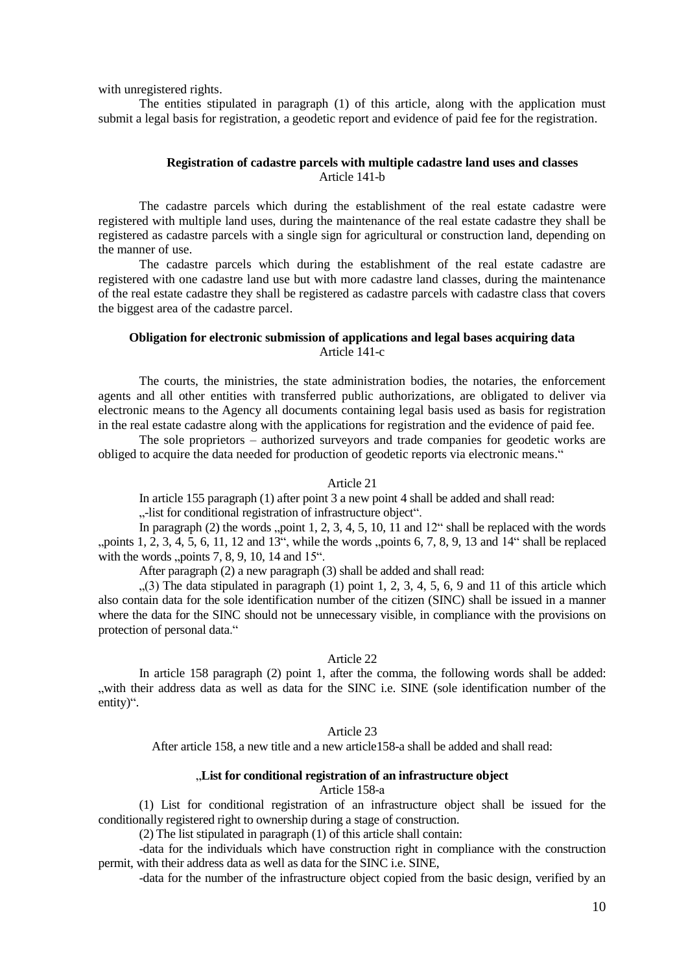with unregistered rights.

The entities stipulated in paragraph (1) of this article, along with the application must submit a legal basis for registration, a geodetic report and evidence of paid fee for the registration.

## **Registration of cadastre parcels with multiple cadastre land uses and classes** Article 141-b

The cadastre parcels which during the establishment of the real estate cadastre were registered with multiple land uses, during the maintenance of the real estate cadastre they shall be registered as cadastre parcels with a single sign for agricultural or construction land, depending on the manner of use.

The cadastre parcels which during the establishment of the real estate cadastre are registered with one cadastre land use but with more cadastre land classes, during the maintenance of the real estate cadastre they shall be registered as cadastre parcels with cadastre class that covers the biggest area of the cadastre parcel.

# **Obligation for electronic submission of applications and legal bases acquiring data** Article 141-c

The courts, the ministries, the state administration bodies, the notaries, the enforcement agents and all other entities with transferred public authorizations, are obligated to deliver via electronic means to the Agency all documents containing legal basis used as basis for registration in the real estate cadastre along with the applications for registration and the evidence of paid fee.

The sole proprietors – authorized surveyors and trade companies for geodetic works are obliged to acquire the data needed for production of geodetic reports via electronic means."

#### Article 21

In article 155 paragraph (1) after point 3 a new point 4 shall be added and shall read:

..-list for conditional registration of infrastructure object".

In paragraph (2) the words "point 1, 2, 3, 4, 5, 10, 11 and  $12^\circ$  shall be replaced with the words ", points 1, 2, 3, 4, 5, 6, 11, 12 and 13", while the words  $\mu$  points 6, 7, 8, 9, 13 and 14" shall be replaced with the words  $p$ , points 7, 8, 9, 10, 14 and 15 $\degree$ .

After paragraph (2) a new paragraph (3) shall be added and shall read:

 $(3)$  The data stipulated in paragraph (1) point 1, 2, 3, 4, 5, 6, 9 and 11 of this article which also contain data for the sole identification number of the citizen (SINC) shall be issued in a manner where the data for the SINC should not be unnecessary visible, in compliance with the provisions on protection of personal data."

### Article 22

In article 158 paragraph (2) point 1, after the comma, the following words shall be added: "with their address data as well as data for the SINC i.e. SINE (sole identification number of the entity)".

#### Article 23

After article 158, a new title and a new article158-a shall be added and shall read:

## "**List for conditional registration of an infrastructure object**

### Article 158-а

(1) List for conditional registration of an infrastructure object shall be issued for the conditionally registered right to ownership during a stage of construction.

(2) The list stipulated in paragraph (1) of this article shall contain:

-data for the individuals which have construction right in compliance with the construction permit, with their address data as well as data for the SINC i.e. SINE,

-data for the number of the infrastructure object copied from the basic design, verified by an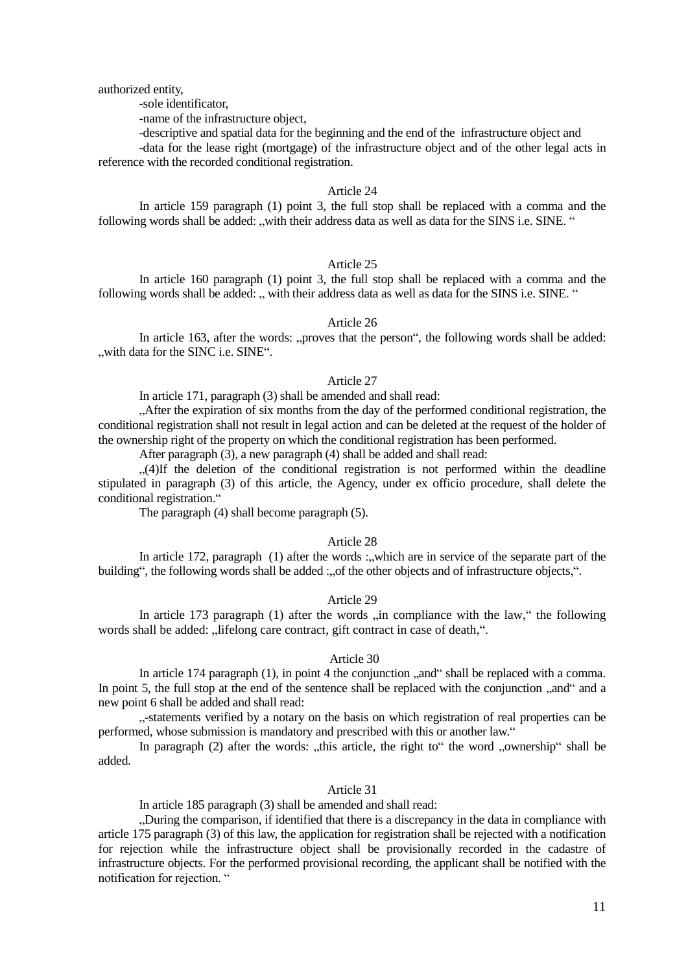authorized entity,

-sole identificator,

-name of the infrastructure object,

-descriptive and spatial data for the beginning and the end of the infrastructure object and -data for the lease right (mortgage) of the infrastructure object and of the other legal acts in reference with the recorded conditional registration.

### Article 24

In article 159 paragraph (1) point 3, the full stop shall be replaced with a comma and the following words shall be added: "with their address data as well as data for the SINS i.e. SINE. "

## Article 25

In article 160 paragraph (1) point 3, the full stop shall be replaced with a comma and the following words shall be added: " with their address data as well as data for the SINS i.e. SINE. "

### Article 26

In article 163, after the words: "proves that the person", the following words shall be added: "with data for the SINC i.e. SINE".

#### Article 27

In article 171, paragraph (3) shall be amended and shall read:

"After the expiration of six months from the day of the performed conditional registration, the conditional registration shall not result in legal action and can be deleted at the request of the holder of the ownership right of the property on which the conditional registration has been performed.

After paragraph (3), a new paragraph (4) shall be added and shall read:

 $(4)$ If the deletion of the conditional registration is not performed within the deadline stipulated in paragraph (3) of this article, the Agency, under ex officio procedure, shall delete the conditional registration."

The paragraph (4) shall become paragraph (5).

### Article 28

In article 172, paragraph (1) after the words :, which are in service of the separate part of the building", the following words shall be added :, of the other objects and of infrastructure objects,".

## Article 29

In article 173 paragraph (1) after the words  $\sin$  compliance with the law," the following words shall be added: ...lifelong care contract, gift contract in case of death.".

### Article 30

In article 174 paragraph  $(1)$ , in point 4 the conjunction  $\mathbb{R}$  and  $\mathbb{R}^n$  shall be replaced with a comma. In point 5, the full stop at the end of the sentence shall be replaced with the conjunction "and" and a new point 6 shall be added and shall read:

"-statements verified by a notary on the basis on which registration of real properties can be performed, whose submission is mandatory and prescribed with this or another law."

In paragraph  $(2)$  after the words: "this article, the right to" the word "ownership" shall be added.

## Article 31

In article 185 paragraph (3) shall be amended and shall read:

"During the comparison, if identified that there is a discrepancy in the data in compliance with article 175 paragraph (3) of this law, the application for registration shall be rejected with a notification for rejection while the infrastructure object shall be provisionally recorded in the cadastre of infrastructure objects. For the performed provisional recording, the applicant shall be notified with the notification for rejection. "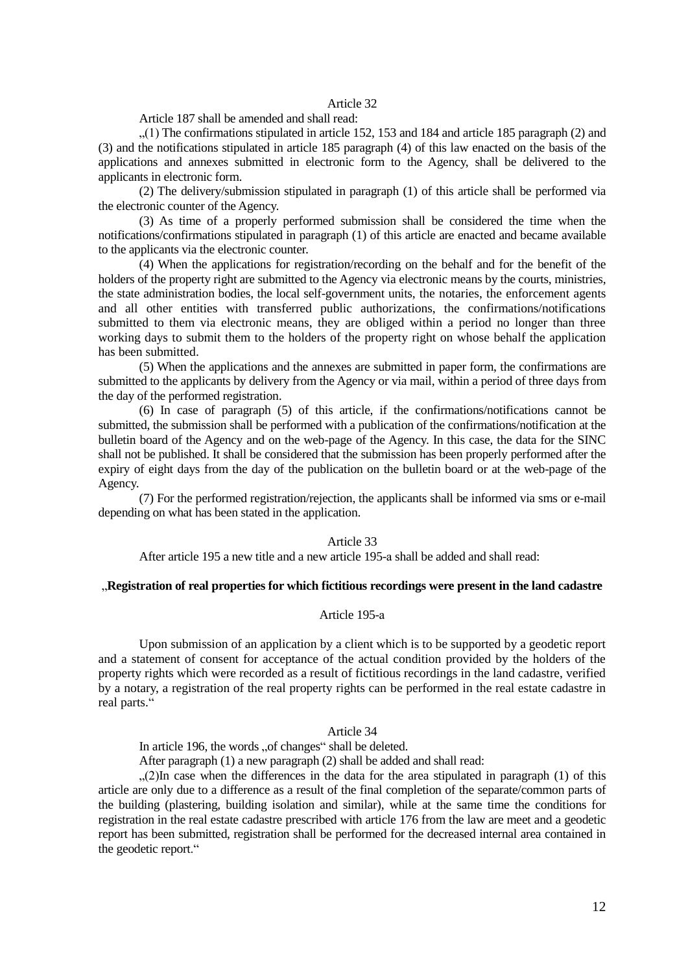## Article 32

Article 187 shall be amended and shall read:

 $(1)$  The confirmations stipulated in article 152, 153 and 184 and article 185 paragraph (2) and (3) and the notifications stipulated in article 185 paragraph (4) of this law enacted on the basis of the applications and annexes submitted in electronic form to the Agency, shall be delivered to the applicants in electronic form.

(2) The delivery/submission stipulated in paragraph (1) of this article shall be performed via the electronic counter of the Agency.

(3) As time of a properly performed submission shall be considered the time when the notifications/confirmations stipulated in paragraph (1) of this article are enacted and became available to the applicants via the electronic counter.

(4) When the applications for registration/recording on the behalf and for the benefit of the holders of the property right are submitted to the Agency via electronic means by the courts, ministries, the state administration bodies, the local self-government units, the notaries, the enforcement agents and all other entities with transferred public authorizations, the confirmations/notifications submitted to them via electronic means, they are obliged within a period no longer than three working days to submit them to the holders of the property right on whose behalf the application has been submitted.

(5) When the applications and the annexes are submitted in paper form, the confirmations are submitted to the applicants by delivery from the Agency or via mail, within a period of three days from the day of the performed registration.

(6) In case of paragraph (5) of this article, if the confirmations/notifications cannot be submitted, the submission shall be performed with a publication of the confirmations/notification at the bulletin board of the Agency and on the web-page of the Agency. In this case, the data for the SINC shall not be published. It shall be considered that the submission has been properly performed after the expiry of eight days from the day of the publication on the bulletin board or at the web-page of the Agency.

(7) For the performed registration/rejection, the applicants shall be informed via sms or e-mail depending on what has been stated in the application.

## Article 33

After article 195 a new title and a new article 195-а shall be added and shall read:

## "**Registration of real properties for which fictitious recordings were present in the land cadastre**

### Article 195-а

Upon submission of an application by a client which is to be supported by a geodetic report and a statement of consent for acceptance of the actual condition provided by the holders of the property rights which were recorded as a result of fictitious recordings in the land cadastre, verified by a notary, a registration of the real property rights can be performed in the real estate cadastre in real parts."

### Article 34

In article 196, the words "of changes" shall be deleted.

After paragraph (1) a new paragraph (2) shall be added and shall read:

 $(2)$ In case when the differences in the data for the area stipulated in paragraph (1) of this article are only due to a difference as a result of the final completion of the separate/common parts of the building (plastering, building isolation and similar), while at the same time the conditions for registration in the real estate cadastre prescribed with article 176 from the law are meet and a geodetic report has been submitted, registration shall be performed for the decreased internal area contained in the geodetic report."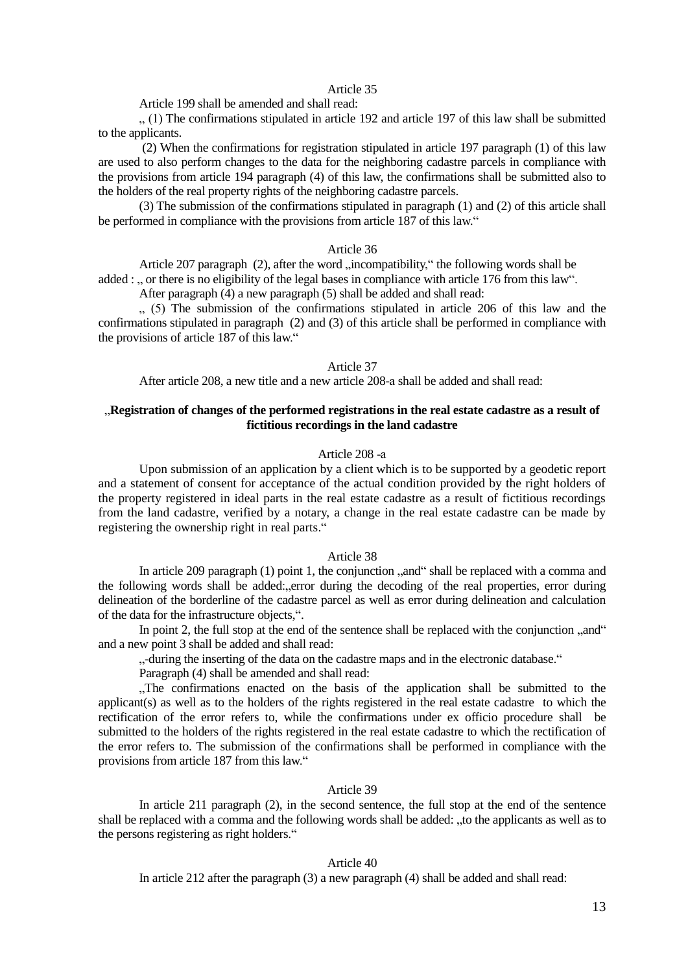## Article 35

Article 199 shall be amended and shall read:

", (1) The confirmations stipulated in article 192 and article 197 of this law shall be submitted to the applicants.

(2) When the confirmations for registration stipulated in article 197 paragraph (1) of this law are used to also perform changes to the data for the neighboring cadastre parcels in compliance with the provisions from article 194 paragraph (4) of this law, the confirmations shall be submitted also to the holders of the real property rights of the neighboring cadastre parcels.

(3) The submission of the confirmations stipulated in paragraph (1) and (2) of this article shall be performed in compliance with the provisions from article 187 of this law."

#### Article 36

Article 207 paragraph (2), after the word "incompatibility," the following words shall be

added : ... or there is no eligibility of the legal bases in compliance with article 176 from this law".

After paragraph (4) a new paragraph (5) shall be added and shall read:

 $(5)$  The submission of the confirmations stipulated in article 206 of this law and the confirmations stipulated in paragraph (2) and (3) of this article shall be performed in compliance with the provisions of article 187 of this law."

#### Article 37

After article 208, a new title and a new article 208-а shall be added and shall read:

# "**Registration of changes of the performed registrations in the real estate cadastre as a result of fictitious recordings in the land cadastre**

# Article 208 -а

Upon submission of an application by a client which is to be supported by a geodetic report and a statement of consent for acceptance of the actual condition provided by the right holders of the property registered in ideal parts in the real estate cadastre as a result of fictitious recordings from the land cadastre, verified by a notary, a change in the real estate cadastre can be made by registering the ownership right in real parts."

#### Article 38

In article 209 paragraph  $(1)$  point 1, the conjunction  $\alpha$ , and  $\alpha$  shall be replaced with a comma and the following words shall be added:"error during the decoding of the real properties, error during delineation of the borderline of the cadastre parcel as well as error during delineation and calculation of the data for the infrastructure objects,".

In point 2, the full stop at the end of the sentence shall be replaced with the conjunction  $\alpha$  and  $\alpha$ and a new point 3 shall be added and shall read:

"-during the inserting of the data on the cadastre maps and in the electronic database."

Paragraph (4) shall be amended and shall read:

..The confirmations enacted on the basis of the application shall be submitted to the applicant(s) as well as to the holders of the rights registered in the real estate cadastre to which the rectification of the error refers to, while the confirmations under ex officio procedure shall be submitted to the holders of the rights registered in the real estate cadastre to which the rectification of the error refers to. The submission of the confirmations shall be performed in compliance with the provisions from article 187 from this law."

### Article 39

In article 211 paragraph (2), in the second sentence, the full stop at the end of the sentence shall be replaced with a comma and the following words shall be added: "to the applicants as well as to the persons registering as right holders."

#### Article 40

In article 212 after the paragraph (3) a new paragraph (4) shall be added and shall read: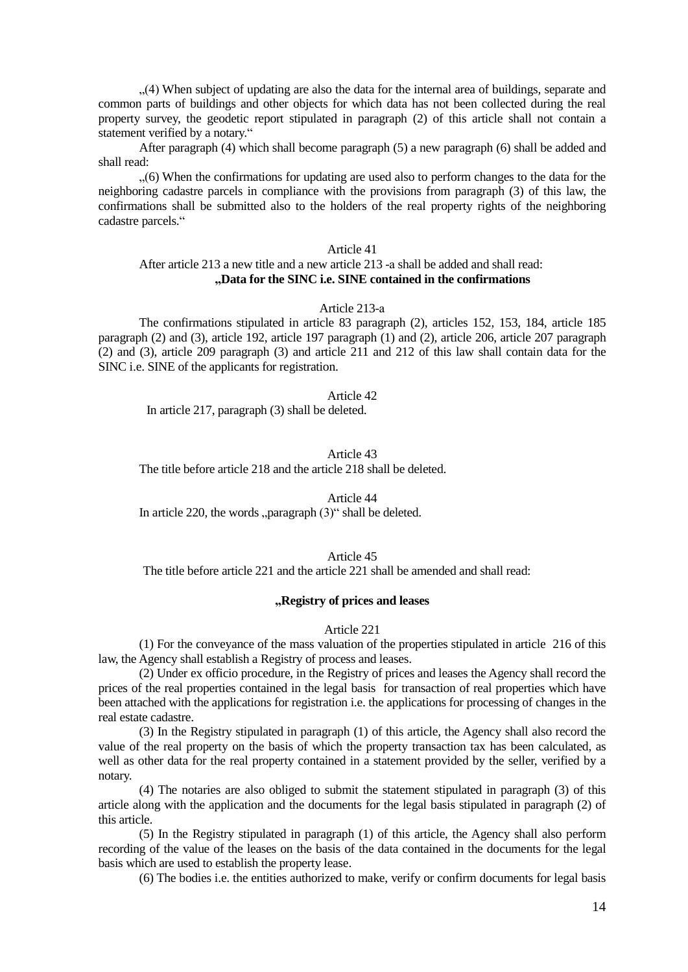"(4) When subject of updating are also the data for the internal area of buildings, separate and common parts of buildings and other objects for which data has not been collected during the real property survey, the geodetic report stipulated in paragraph (2) of this article shall not contain a statement verified by a notary."

After paragraph (4) which shall become paragraph (5) a new paragraph (6) shall be added and shall read:

"(6) When the confirmations for updating are used also to perform changes to the data for the neighboring cadastre parcels in compliance with the provisions from paragraph (3) of this law, the confirmations shall be submitted also to the holders of the real property rights of the neighboring cadastre parcels."

## Article 41

# After article 213 a new title and a new article 213 -а shall be added and shall read: **"Data for the SINC i.e. SINE contained in the confirmations**

## Article 213-а

The confirmations stipulated in article 83 paragraph (2), articles 152, 153, 184, article 185 paragraph (2) and (3), article 192, article 197 paragraph (1) and (2), article 206, article 207 paragraph (2) and (3), article 209 paragraph (3) and article 211 and 212 of this law shall contain data for the SINC i.e. SINE of the applicants for registration.

Article 42

In article 217, paragraph (3) shall be deleted.

Article 43 The title before article 218 and the article 218 shall be deleted.

Article 44 In article 220, the words  $\Delta$  paragraph  $(3)$ " shall be deleted.

### Article 45 The title before article 221 and the article 221 shall be amended and shall read:

### **"Registry of prices and leases**

## Article 221

(1) For the conveyance of the mass valuation of the properties stipulated in article 216 of this law, the Agency shall establish a Registry of process and leases.

(2) Under ex officio procedure, in the Registry of prices and leases the Agency shall record the prices of the real properties contained in the legal basis for transaction of real properties which have been attached with the applications for registration i.e. the applications for processing of changes in the real estate cadastre.

(3) In the Registry stipulated in paragraph (1) of this article, the Agency shall also record the value of the real property on the basis of which the property transaction tax has been calculated, as well as other data for the real property contained in a statement provided by the seller, verified by a notary.

(4) The notaries are also obliged to submit the statement stipulated in paragraph (3) of this article along with the application and the documents for the legal basis stipulated in paragraph (2) of this article.

(5) In the Registry stipulated in paragraph (1) of this article, the Agency shall also perform recording of the value of the leases on the basis of the data contained in the documents for the legal basis which are used to establish the property lease.

(6) The bodies i.e. the entities authorized to make, verify or confirm documents for legal basis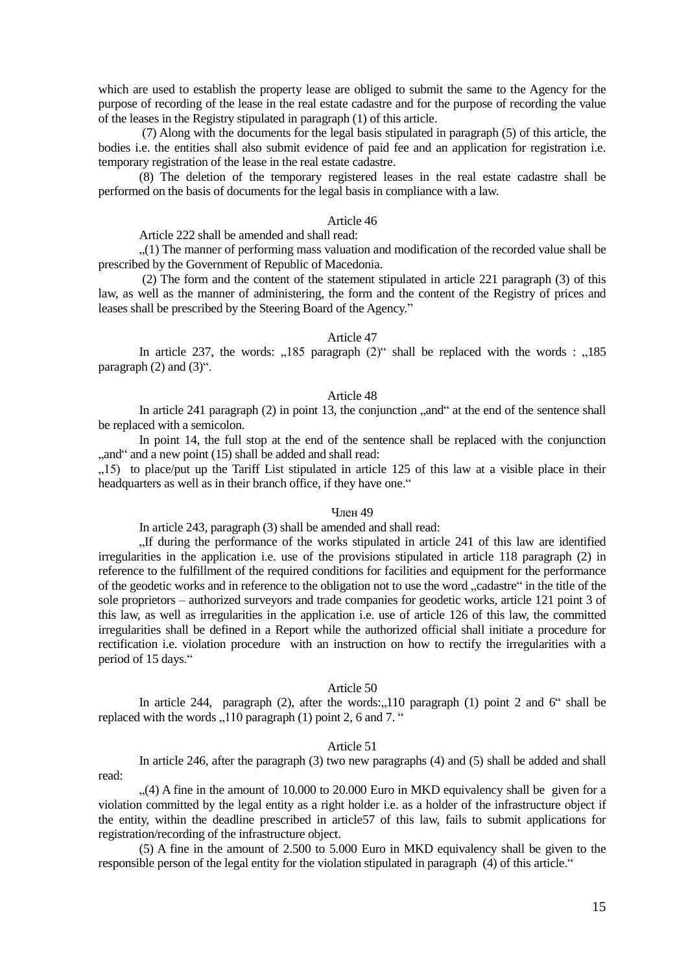which are used to establish the property lease are obliged to submit the same to the Agency for the purpose of recording of the lease in the real estate cadastre and for the purpose of recording the value of the leases in the Registry stipulated in paragraph (1) of this article.

(7) Along with the documents for the legal basis stipulated in paragraph (5) of this article, the bodies i.e. the entities shall also submit evidence of paid fee and an application for registration i.e. temporary registration of the lease in the real estate cadastre.

(8) The deletion of the temporary registered leases in the real estate cadastre shall be performed on the basis of documents for the legal basis in compliance with a law.

## Article 46

Article 222 shall be amended and shall read:

"(1) The manner of performing mass valuation and modification of the recorded value shall be prescribed by the Government of Republic of Macedonia.

(2) The form and the content of the statement stipulated in article 221 paragraph (3) of this law, as well as the manner of administering, the form and the content of the Registry of prices and leases shall be prescribed by the Steering Board of the Agency."

#### Article 47

In article 237, the words:  $,185$  paragraph  $(2)$ " shall be replaced with the words :  $,185$ paragraph  $(2)$  and  $(3)$ ".

#### Article 48

In article 241 paragraph  $(2)$  in point 13, the conjunction  $\alpha$ , and  $\alpha$  at the end of the sentence shall be replaced with a semicolon.

In point 14, the full stop at the end of the sentence shall be replaced with the conjunction ,, and " and a new point (15) shall be added and shall read:

"15) to place/put up the Tariff List stipulated in article 125 of this law at a visible place in their headquarters as well as in their branch office, if they have one."

#### Член 49

In article 243, paragraph (3) shall be amended and shall read:

"If during the performance of the works stipulated in article 241 of this law are identified irregularities in the application i.e. use of the provisions stipulated in article 118 paragraph (2) in reference to the fulfillment of the required conditions for facilities and equipment for the performance of the geodetic works and in reference to the obligation not to use the word "cadastre" in the title of the sole proprietors – authorized surveyors and trade companies for geodetic works, article 121 point 3 of this law, as well as irregularities in the application i.e. use of article 126 of this law, the committed irregularities shall be defined in a Report while the authorized official shall initiate a procedure for rectification i.e. violation procedure with an instruction on how to rectify the irregularities with a period of 15 days."

### Article 50

In article 244, paragraph  $(2)$ , after the words: $\Box$ 110 paragraph  $(1)$  point 2 and 6<sup>"</sup> shall be replaced with the words  $\sqrt{110}$  paragraph (1) point 2, 6 and 7. "

#### Article 51

In article 246, after the paragraph (3) two new paragraphs (4) and (5) shall be added and shall read:

 $(4)$  A fine in the amount of 10.000 to 20.000 Euro in MKD equivalency shall be given for a violation committed by the legal entity as a right holder i.e. as a holder of the infrastructure object if the entity, within the deadline prescribed in article57 of this law, fails to submit applications for registration/recording of the infrastructure object.

(5) A fine in the amount of 2.500 to 5.000 Euro in MKD equivalency shall be given to the responsible person of the legal entity for the violation stipulated in paragraph (4) of this article."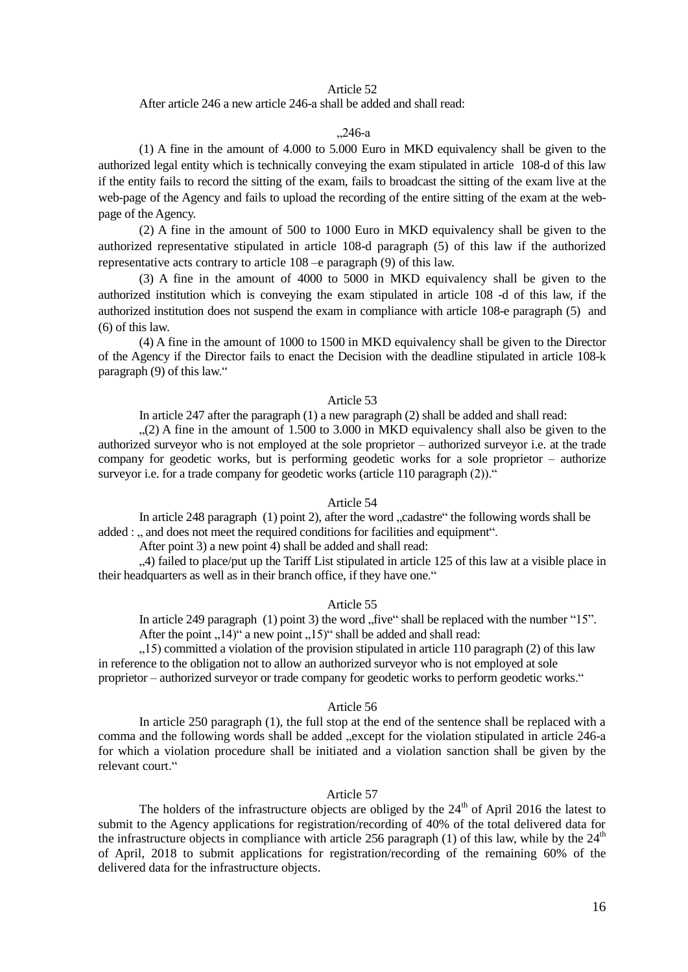## Article 52

After article 246 a new article 246-а shall be added and shall read:

## "246-а

(1) A fine in the amount of 4.000 to 5.000 Euro in MKD equivalency shall be given to the authorized legal entity which is technically conveying the exam stipulated in article 108-d of this law if the entity fails to record the sitting of the exam, fails to broadcast the sitting of the exam live at the web-page of the Agency and fails to upload the recording of the entire sitting of the exam at the webpage of the Agency.

(2) A fine in the amount of 500 to 1000 Euro in MKD equivalency shall be given to the authorized representative stipulated in article 108-d paragraph (5) of this law if the authorized representative acts contrary to article 108 –e paragraph (9) of this law.

(3) A fine in the amount of 4000 to 5000 in MKD equivalency shall be given to the authorized institution which is conveying the exam stipulated in article 108 -d of this law, if the authorized institution does not suspend the exam in compliance with article 108-e paragraph (5) and (6) of this law.

(4) A fine in the amount of 1000 to 1500 in MKD equivalency shall be given to the Director of the Agency if the Director fails to enact the Decision with the deadline stipulated in article 108-k paragraph (9) of this law."

### Article 53

In article 247 after the paragraph (1) a new paragraph (2) shall be added and shall read:

 $(2)$  A fine in the amount of 1.500 to 3.000 in MKD equivalency shall also be given to the authorized surveyor who is not employed at the sole proprietor – authorized surveyor i.e. at the trade company for geodetic works, but is performing geodetic works for a sole proprietor – authorize surveyor i.e. for a trade company for geodetic works (article 110 paragraph  $(2)$ )."

### Article 54

In article 248 paragraph  $(1)$  point 2), after the word  $\alpha$  cadastre" the following words shall be added : ... and does not meet the required conditions for facilities and equipment".

After point 3) a new point 4) shall be added and shall read:

"4) failed to place/put up the Tariff List stipulated in article 125 of this law at a visible place in their headquarters as well as in their branch office, if they have one."

#### Article 55

In article 249 paragraph  $(1)$  point 3) the word "five" shall be replaced with the number "15". After the point  $\mu$ 14)" a new point  $\mu$ 15)" shall be added and shall read:

 $15$ ) committed a violation of the provision stipulated in article 110 paragraph (2) of this law in reference to the obligation not to allow an authorized surveyor who is not employed at sole proprietor – authorized surveyor or trade company for geodetic works to perform geodetic works."

#### Article 56

In article 250 paragraph (1), the full stop at the end of the sentence shall be replaced with a comma and the following words shall be added "except for the violation stipulated in article 246-a for which a violation procedure shall be initiated and a violation sanction shall be given by the relevant court."

## Article 57

The holders of the infrastructure objects are obliged by the  $24<sup>th</sup>$  of April 2016 the latest to submit to the Agency applications for registration/recording of 40% of the total delivered data for the infrastructure objects in compliance with article 256 paragraph (1) of this law, while by the  $24<sup>th</sup>$ of April, 2018 to submit applications for registration/recording of the remaining 60% of the delivered data for the infrastructure objects.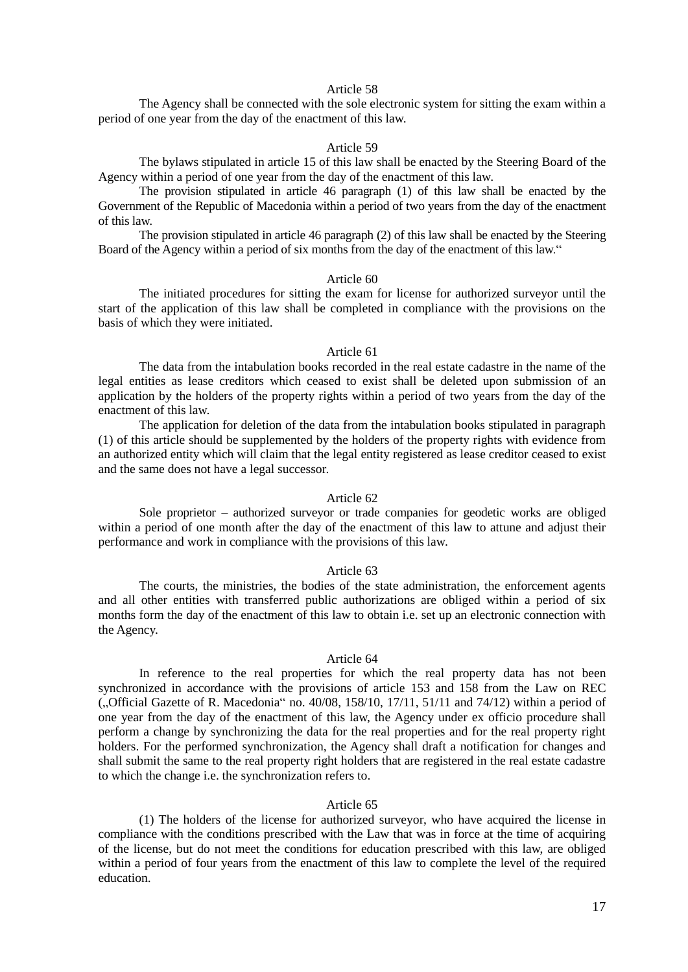## Article 58

The Agency shall be connected with the sole electronic system for sitting the exam within a period of one year from the day of the enactment of this law.

### Article 59

The bylaws stipulated in article 15 of this law shall be enacted by the Steering Board of the Agency within a period of one year from the day of the enactment of this law.

The provision stipulated in article 46 paragraph (1) of this law shall be enacted by the Government of the Republic of Macedonia within a period of two years from the day of the enactment of this law.

The provision stipulated in article 46 paragraph (2) of this law shall be enacted by the Steering Board of the Agency within a period of six months from the day of the enactment of this law."

### Article 60

The initiated procedures for sitting the exam for license for authorized surveyor until the start of the application of this law shall be completed in compliance with the provisions on the basis of which they were initiated.

### Article 61

The data from the intabulation books recorded in the real estate cadastre in the name of the legal entities as lease creditors which ceased to exist shall be deleted upon submission of an application by the holders of the property rights within a period of two years from the day of the enactment of this law.

The application for deletion of the data from the intabulation books stipulated in paragraph (1) of this article should be supplemented by the holders of the property rights with evidence from an authorized entity which will claim that the legal entity registered as lease creditor ceased to exist and the same does not have a legal successor.

## Article 62

Sole proprietor – authorized surveyor or trade companies for geodetic works are obliged within a period of one month after the day of the enactment of this law to attune and adjust their performance and work in compliance with the provisions of this law.

## Article 63

The courts, the ministries, the bodies of the state administration, the enforcement agents and all other entities with transferred public authorizations are obliged within a period of six months form the day of the enactment of this law to obtain i.e. set up an electronic connection with the Agency.

### Article 64

In reference to the real properties for which the real property data has not been synchronized in accordance with the provisions of article 153 and 158 from the Law on REC  $\ldots$  Official Gazette of R. Macedonia no. 40/08, 158/10, 17/11, 51/11 and 74/12) within a period of one year from the day of the enactment of this law, the Agency under ex officio procedure shall perform a change by synchronizing the data for the real properties and for the real property right holders. For the performed synchronization, the Agency shall draft a notification for changes and shall submit the same to the real property right holders that are registered in the real estate cadastre to which the change i.e. the synchronization refers to.

### Article 65

(1) The holders of the license for authorized surveyor, who have acquired the license in compliance with the conditions prescribed with the Law that was in force at the time of acquiring of the license, but do not meet the conditions for education prescribed with this law, are obliged within a period of four years from the enactment of this law to complete the level of the required education.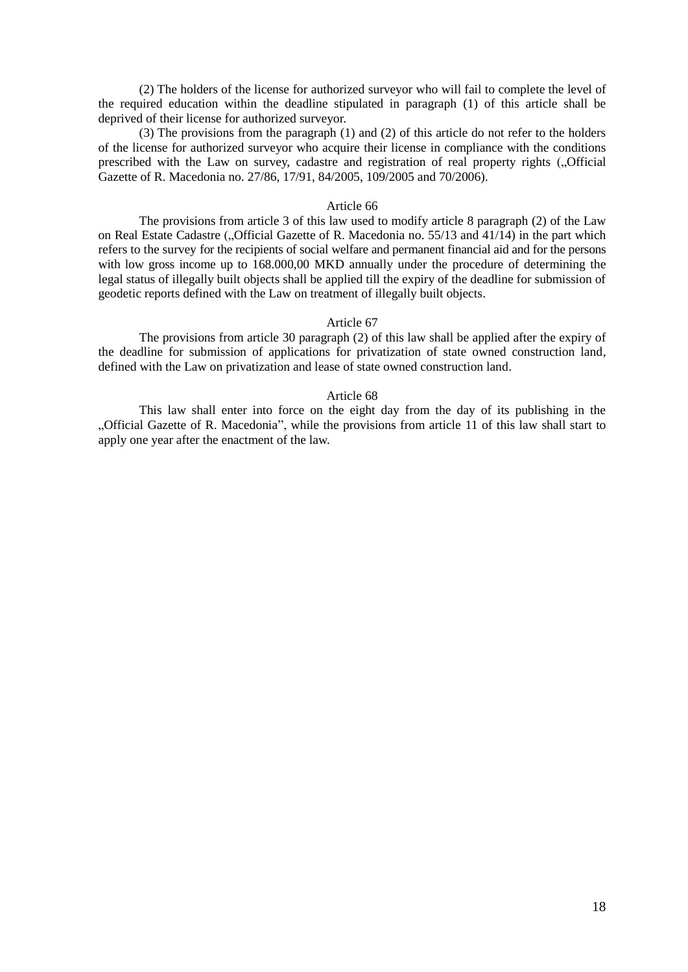(2) The holders of the license for authorized surveyor who will fail to complete the level of the required education within the deadline stipulated in paragraph (1) of this article shall be deprived of their license for authorized surveyor.

(3) The provisions from the paragraph (1) and (2) of this article do not refer to the holders of the license for authorized surveyor who acquire their license in compliance with the conditions prescribed with the Law on survey, cadastre and registration of real property rights (... Official Gazette of R. Macedonia no. 27/86, 17/91, 84/2005, 109/2005 and 70/2006).

#### Article 66

The provisions from article 3 of this law used to modify article 8 paragraph (2) of the Law on Real Estate Cadastre ("Official Gazette of R. Macedonia no. 55/13 and 41/14) in the part which refers to the survey for the recipients of social welfare and permanent financial aid and for the persons with low gross income up to 168.000,00 MKD annually under the procedure of determining the legal status of illegally built objects shall be applied till the expiry of the deadline for submission of geodetic reports defined with the Law on treatment of illegally built objects.

## Article 67

The provisions from article 30 paragraph (2) of this law shall be applied after the expiry of the deadline for submission of applications for privatization of state owned construction land, defined with the Law on privatization and lease of state owned construction land.

### Article 68

This law shall enter into force on the eight day from the day of its publishing in the "Official Gazette of R. Macedonia", while the provisions from article 11 of this law shall start to apply one year after the enactment of the law.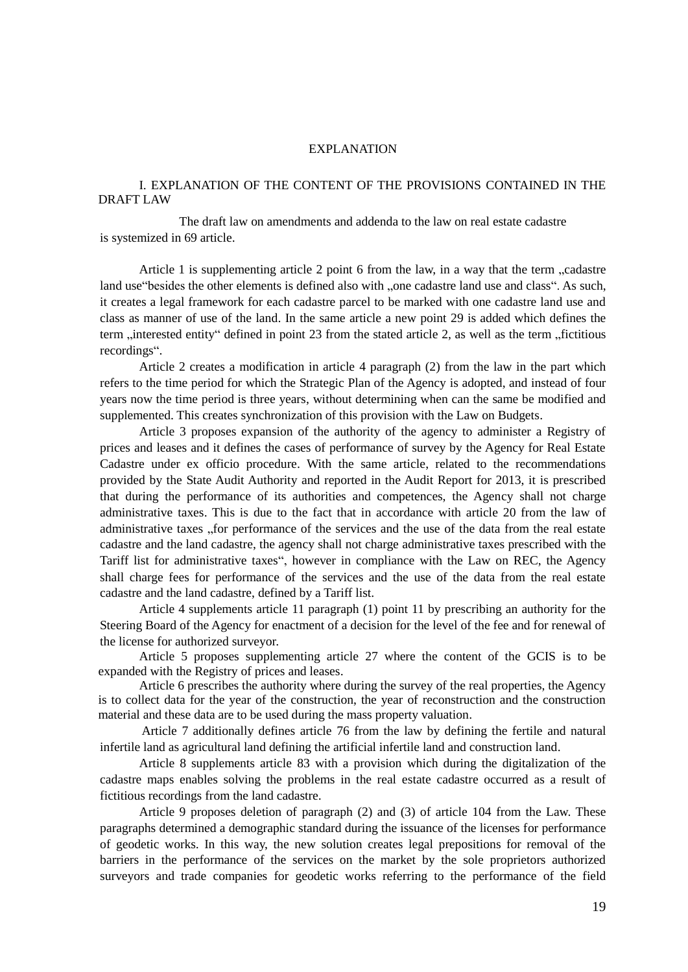### EXPLANATION

# I. EXPLANATION OF THE CONTENT OF THE PROVISIONS CONTAINED IN THE DRAFT LAW

The draft law on amendments and addenda to the law on real estate cadastre is systemized in 69 article.

Article 1 is supplementing article 2 point 6 from the law, in a way that the term  $\alpha$  cadastre land use "besides the other elements is defined also with , one cadastre land use and class". As such, it creates a legal framework for each cadastre parcel to be marked with one cadastre land use and class as manner of use of the land. In the same article a new point 29 is added which defines the term "interested entity" defined in point 23 from the stated article 2, as well as the term "fictitious recordings".

Article 2 creates a modification in article 4 paragraph (2) from the law in the part which refers to the time period for which the Strategic Plan of the Agency is adopted, and instead of four years now the time period is three years, without determining when can the same be modified and supplemented. This creates synchronization of this provision with the Law on Budgets.

Article 3 proposes expansion of the authority of the agency to administer a Registry of prices and leases and it defines the cases of performance of survey by the Agency for Real Estate Cadastre under ex officio procedure. With the same article, related to the recommendations provided by the State Audit Authority and reported in the Audit Report for 2013, it is prescribed that during the performance of its authorities and competences, the Agency shall not charge administrative taxes. This is due to the fact that in accordance with article 20 from the law of administrative taxes "for performance of the services and the use of the data from the real estate cadastre and the land cadastre, the agency shall not charge administrative taxes prescribed with the Tariff list for administrative taxes", however in compliance with the Law on REC, the Agency shall charge fees for performance of the services and the use of the data from the real estate cadastre and the land cadastre, defined by a Tariff list.

Article 4 supplements article 11 paragraph (1) point 11 by prescribing an authority for the Steering Board of the Agency for enactment of a decision for the level of the fee and for renewal of the license for authorized surveyor.

Article 5 proposes supplementing article 27 where the content of the GCIS is to be expanded with the Registry of prices and leases.

Article 6 prescribes the authority where during the survey of the real properties, the Agency is to collect data for the year of the construction, the year of reconstruction and the construction material and these data are to be used during the mass property valuation.

Article 7 additionally defines article 76 from the law by defining the fertile and natural infertile land as agricultural land defining the artificial infertile land and construction land.

Article 8 supplements article 83 with a provision which during the digitalization of the cadastre maps enables solving the problems in the real estate cadastre occurred as a result of fictitious recordings from the land cadastre.

Article 9 proposes deletion of paragraph (2) and (3) of article 104 from the Law. These paragraphs determined a demographic standard during the issuance of the licenses for performance of geodetic works. In this way, the new solution creates legal prepositions for removal of the barriers in the performance of the services on the market by the sole proprietors authorized surveyors and trade companies for geodetic works referring to the performance of the field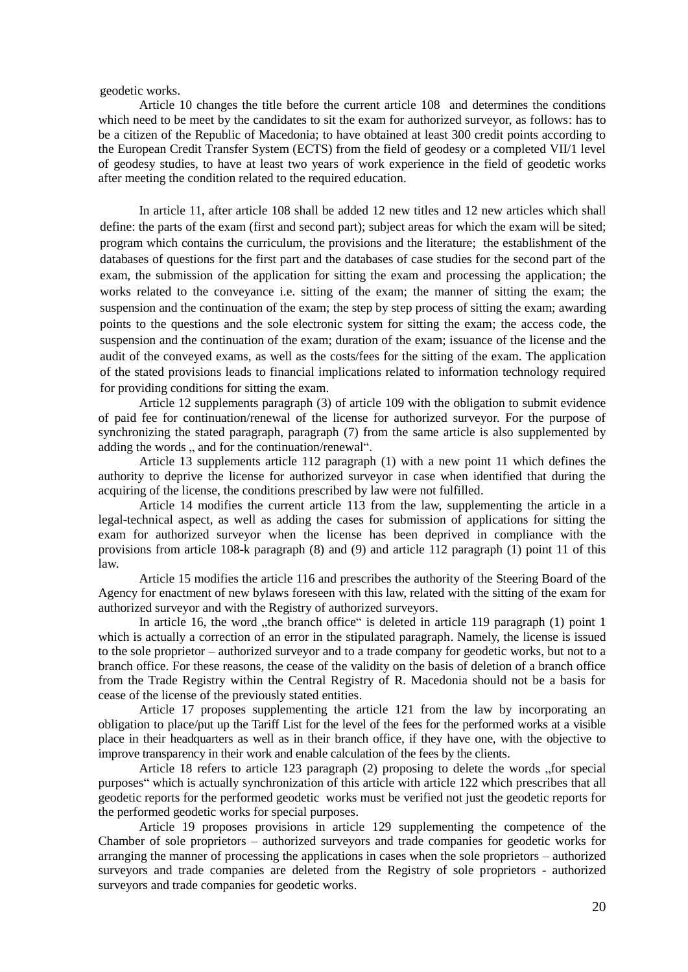geodetic works.

Article 10 changes the title before the current article 108 and determines the conditions which need to be meet by the candidates to sit the exam for authorized surveyor, as follows: has to be a citizen of the Republic of Macedonia; to have obtained at least 300 credit points according to the European Credit Transfer System (ECTS) from the field of geodesy or a completed VII/1 level of geodesy studies, to have at least two years of work experience in the field of geodetic works after meeting the condition related to the required education.

In article 11, after article 108 shall be added 12 new titles and 12 new articles which shall define: the parts of the exam (first and second part); subject areas for which the exam will be sited; program which contains the curriculum, the provisions and the literature; the establishment of the databases of questions for the first part and the databases of case studies for the second part of the exam, the submission of the application for sitting the exam and processing the application; the works related to the conveyance i.e. sitting of the exam; the manner of sitting the exam; the suspension and the continuation of the exam; the step by step process of sitting the exam; awarding points to the questions and the sole electronic system for sitting the exam; the access code, the suspension and the continuation of the exam; duration of the exam; issuance of the license and the audit of the conveyed exams, as well as the costs/fees for the sitting of the exam. The application of the stated provisions leads to financial implications related to information technology required for providing conditions for sitting the exam.

Article 12 supplements paragraph (3) of article 109 with the obligation to submit evidence of paid fee for continuation/renewal of the license for authorized surveyor. For the purpose of synchronizing the stated paragraph, paragraph (7) from the same article is also supplemented by adding the words , and for the continuation/renewal".

Article 13 supplements article 112 paragraph (1) with a new point 11 which defines the authority to deprive the license for authorized surveyor in case when identified that during the acquiring of the license, the conditions prescribed by law were not fulfilled.

Article 14 modifies the current article 113 from the law, supplementing the article in a legal-technical aspect, as well as adding the cases for submission of applications for sitting the exam for authorized surveyor when the license has been deprived in compliance with the provisions from article 108-k paragraph (8) and (9) and article 112 paragraph (1) point 11 of this law.

Article 15 modifies the article 116 and prescribes the authority of the Steering Board of the Agency for enactment of new bylaws foreseen with this law, related with the sitting of the exam for authorized surveyor and with the Registry of authorized surveyors.

In article 16, the word "the branch office" is deleted in article 119 paragraph  $(1)$  point 1 which is actually a correction of an error in the stipulated paragraph. Namely, the license is issued to the sole proprietor – authorized surveyor and to a trade company for geodetic works, but not to a branch office. For these reasons, the cease of the validity on the basis of deletion of a branch office from the Trade Registry within the Central Registry of R. Macedonia should not be a basis for cease of the license of the previously stated entities.

Article 17 proposes supplementing the article 121 from the law by incorporating an obligation to place/put up the Tariff List for the level of the fees for the performed works at a visible place in their headquarters as well as in their branch office, if they have one, with the objective to improve transparency in their work and enable calculation of the fees by the clients.

Article 18 refers to article 123 paragraph (2) proposing to delete the words "for special purposes" which is actually synchronization of this article with article 122 which prescribes that all geodetic reports for the performed geodetic works must be verified not just the geodetic reports for the performed geodetic works for special purposes.

Article 19 proposes provisions in article 129 supplementing the competence of the Chamber of sole proprietors – authorized surveyors and trade companies for geodetic works for arranging the manner of processing the applications in cases when the sole proprietors – authorized surveyors and trade companies are deleted from the Registry of sole proprietors - authorized surveyors and trade companies for geodetic works.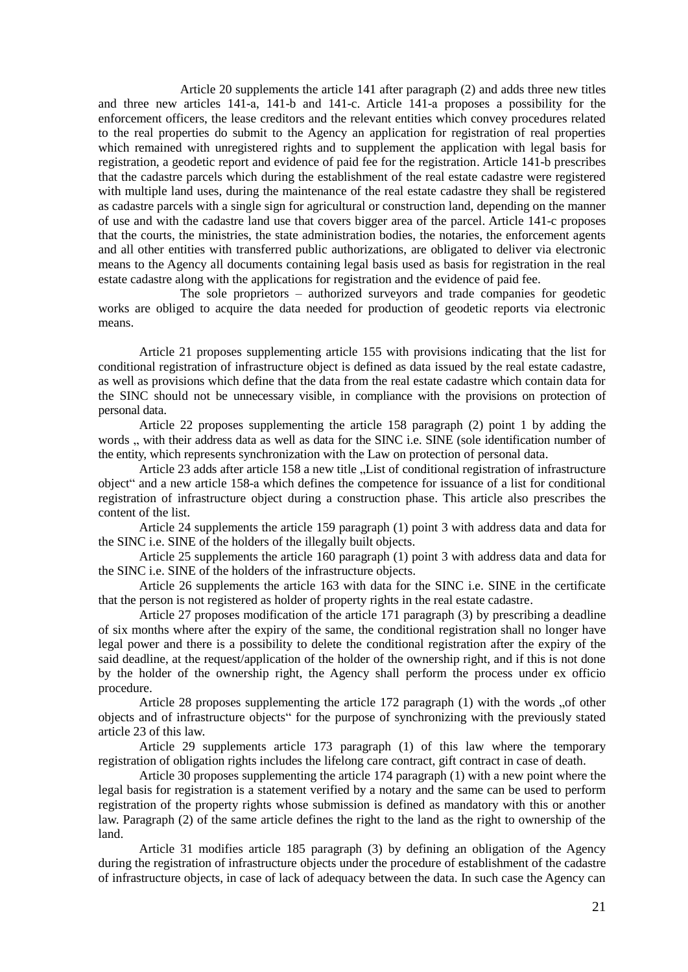Article 20 supplements the article 141 after paragraph (2) and adds three new titles and three new articles 141-а, 141-b and 141-c. Article 141-а proposes a possibility for the enforcement officers, the lease creditors and the relevant entities which convey procedures related to the real properties do submit to the Agency an application for registration of real properties which remained with unregistered rights and to supplement the application with legal basis for registration, a geodetic report and evidence of paid fee for the registration. Article 141-b prescribes that the cadastre parcels which during the establishment of the real estate cadastre were registered with multiple land uses, during the maintenance of the real estate cadastre they shall be registered as cadastre parcels with a single sign for agricultural or construction land, depending on the manner of use and with the cadastre land use that covers bigger area of the parcel. Article 141-c proposes that the courts, the ministries, the state administration bodies, the notaries, the enforcement agents and all other entities with transferred public authorizations, are obligated to deliver via electronic means to the Agency all documents containing legal basis used as basis for registration in the real estate cadastre along with the applications for registration and the evidence of paid fee.

The sole proprietors – authorized surveyors and trade companies for geodetic works are obliged to acquire the data needed for production of geodetic reports via electronic means.

Article 21 proposes supplementing article 155 with provisions indicating that the list for conditional registration of infrastructure object is defined as data issued by the real estate cadastre, as well as provisions which define that the data from the real estate cadastre which contain data for the SINC should not be unnecessary visible, in compliance with the provisions on protection of personal data.

Article 22 proposes supplementing the article 158 paragraph (2) point 1 by adding the words ... with their address data as well as data for the SINC i.e. SINE (sole identification number of the entity, which represents synchronization with the Law on protection of personal data.

Article 23 adds after article 158 a new title . List of conditional registration of infrastructure object" and a new article 158-а which defines the competence for issuance of a list for conditional registration of infrastructure object during a construction phase. This article also prescribes the content of the list.

Article 24 supplements the article 159 paragraph (1) point 3 with address data and data for the SINC i.e. SINE of the holders of the illegally built objects.

Article 25 supplements the article 160 paragraph (1) point 3 with address data and data for the SINC i.e. SINE of the holders of the infrastructure objects.

Article 26 supplements the article 163 with data for the SINC i.e. SINE in the certificate that the person is not registered as holder of property rights in the real estate cadastre.

Article 27 proposes modification of the article 171 paragraph (3) by prescribing a deadline of six months where after the expiry of the same, the conditional registration shall no longer have legal power and there is a possibility to delete the conditional registration after the expiry of the said deadline, at the request/application of the holder of the ownership right, and if this is not done by the holder of the ownership right, the Agency shall perform the process under ex officio procedure.

Article 28 proposes supplementing the article  $172$  paragraph  $(1)$  with the words  $\alpha$ , of other objects and of infrastructure objects" for the purpose of synchronizing with the previously stated article 23 of this law.

Article 29 supplements article 173 paragraph (1) of this law where the temporary registration of obligation rights includes the lifelong care contract, gift contract in case of death.

Article 30 proposes supplementing the article 174 paragraph (1) with a new point where the legal basis for registration is a statement verified by a notary and the same can be used to perform registration of the property rights whose submission is defined as mandatory with this or another law. Paragraph (2) of the same article defines the right to the land as the right to ownership of the land.

Article 31 modifies article 185 paragraph (3) by defining an obligation of the Agency during the registration of infrastructure objects under the procedure of establishment of the cadastre of infrastructure objects, in case of lack of adequacy between the data. In such case the Agency can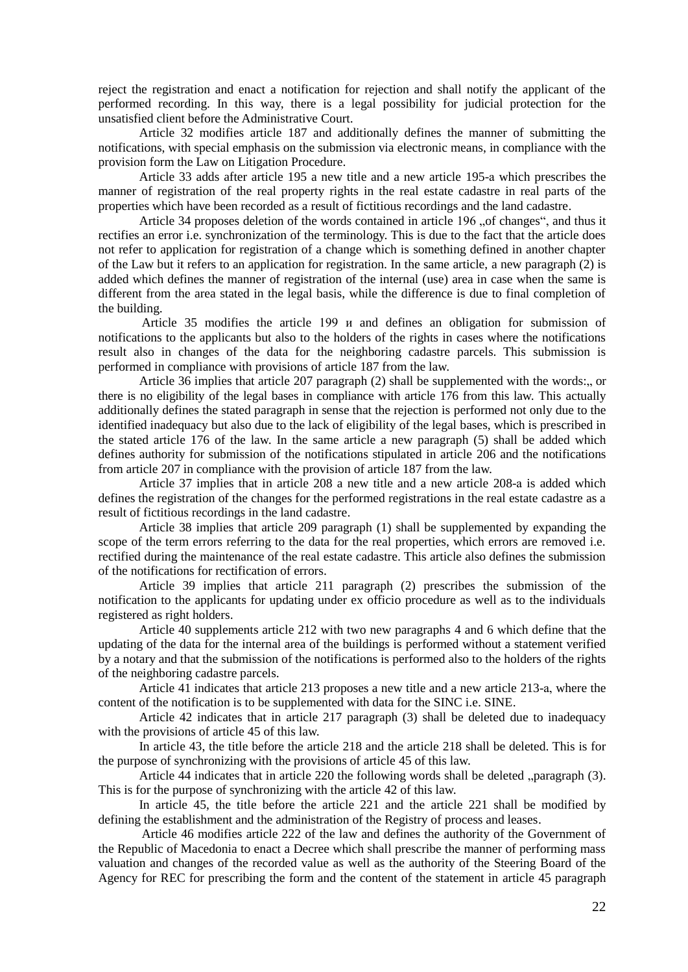reject the registration and enact a notification for rejection and shall notify the applicant of the performed recording. In this way, there is a legal possibility for judicial protection for the unsatisfied client before the Administrative Court.

Article 32 modifies article 187 and additionally defines the manner of submitting the notifications, with special emphasis on the submission via electronic means, in compliance with the provision form the Law on Litigation Procedure.

Article 33 adds after article 195 a new title and a new article 195-а which prescribes the manner of registration of the real property rights in the real estate cadastre in real parts of the properties which have been recorded as a result of fictitious recordings and the land cadastre.

Article 34 proposes deletion of the words contained in article 196 "of changes", and thus it rectifies an error i.e. synchronization of the terminology. This is due to the fact that the article does not refer to application for registration of a change which is something defined in another chapter of the Law but it refers to an application for registration. In the same article, a new paragraph (2) is added which defines the manner of registration of the internal (use) area in case when the same is different from the area stated in the legal basis, while the difference is due to final completion of the building.

Article 35 modifies the article 199 и and defines an obligation for submission of notifications to the applicants but also to the holders of the rights in cases where the notifications result also in changes of the data for the neighboring cadastre parcels. This submission is performed in compliance with provisions of article 187 from the law.

Article 36 implies that article 207 paragraph  $(2)$  shall be supplemented with the words: or there is no eligibility of the legal bases in compliance with article 176 from this law. This actually additionally defines the stated paragraph in sense that the rejection is performed not only due to the identified inadequacy but also due to the lack of eligibility of the legal bases, which is prescribed in the stated article 176 of the law. In the same article a new paragraph (5) shall be added which defines authority for submission of the notifications stipulated in article 206 and the notifications from article 207 in compliance with the provision of article 187 from the law.

Article 37 implies that in article 208 a new title and a new article 208-а is added which defines the registration of the changes for the performed registrations in the real estate cadastre as a result of fictitious recordings in the land cadastre.

Article 38 implies that article 209 paragraph (1) shall be supplemented by expanding the scope of the term errors referring to the data for the real properties, which errors are removed i.e. rectified during the maintenance of the real estate cadastre. This article also defines the submission of the notifications for rectification of errors.

Article 39 implies that article 211 paragraph (2) prescribes the submission of the notification to the applicants for updating under ex officio procedure as well as to the individuals registered as right holders.

Article 40 supplements article 212 with two new paragraphs 4 and 6 which define that the updating of the data for the internal area of the buildings is performed without a statement verified by a notary and that the submission of the notifications is performed also to the holders of the rights of the neighboring cadastre parcels.

Article 41 indicates that article 213 proposes a new title and a new article 213-а, where the content of the notification is to be supplemented with data for the SINC i.e. SINE.

Article 42 indicates that in article 217 paragraph (3) shall be deleted due to inadequacy with the provisions of article 45 of this law.

In article 43, the title before the article 218 and the article 218 shall be deleted. This is for the purpose of synchronizing with the provisions of article 45 of this law.

Article 44 indicates that in article 220 the following words shall be deleted "paragraph (3). This is for the purpose of synchronizing with the article 42 of this law.

In article 45, the title before the article 221 and the article 221 shall be modified by defining the establishment and the administration of the Registry of process and leases.

Article 46 modifies article 222 of the law and defines the authority of the Government of the Republic of Macedonia to enact a Decree which shall prescribe the manner of performing mass valuation and changes of the recorded value as well as the authority of the Steering Board of the Agency for REC for prescribing the form and the content of the statement in article 45 paragraph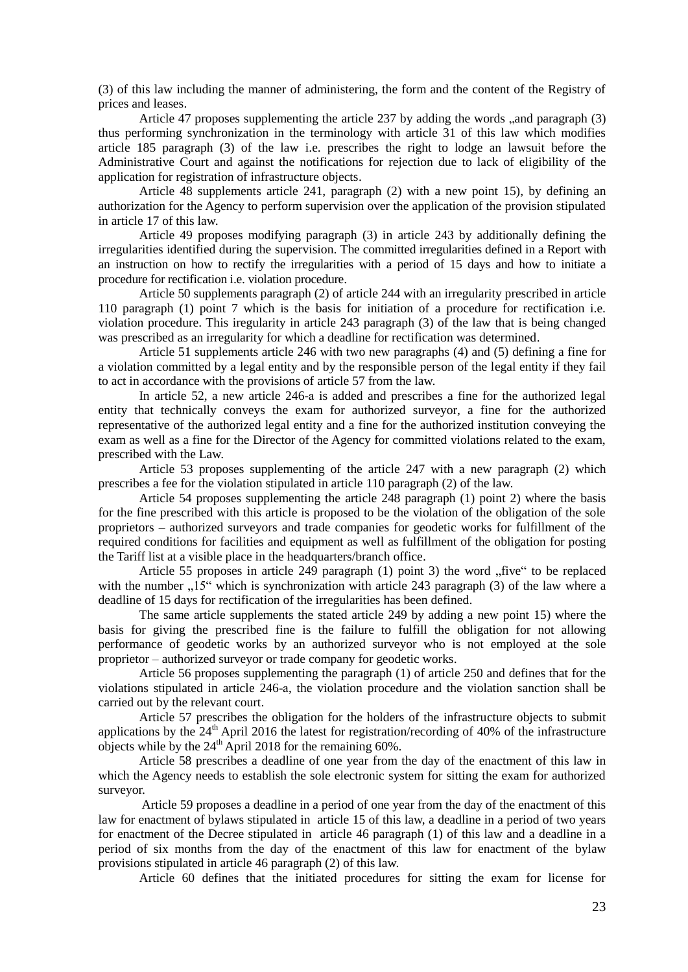(3) of this law including the manner of administering, the form and the content of the Registry of prices and leases.

Article 47 proposes supplementing the article  $237$  by adding the words  $\alpha$  and paragraph  $(3)$ thus performing synchronization in the terminology with article 31 of this law which modifies article 185 paragraph (3) of the law i.e. prescribes the right to lodge an lawsuit before the Administrative Court and against the notifications for rejection due to lack of eligibility of the application for registration of infrastructure objects.

Article 48 supplements article 241, paragraph (2) with a new point 15), by defining an authorization for the Agency to perform supervision over the application of the provision stipulated in article 17 of this law.

Article 49 proposes modifying paragraph (3) in article 243 by additionally defining the irregularities identified during the supervision. The committed irregularities defined in a Report with an instruction on how to rectify the irregularities with a period of 15 days and how to initiate a procedure for rectification i.e. violation procedure.

Article 50 supplements paragraph (2) of article 244 with an irregularity prescribed in article 110 paragraph (1) point 7 which is the basis for initiation of a procedure for rectification i.e. violation procedure. This iregularity in article 243 paragraph (3) of the law that is being changed was prescribed as an irregularity for which a deadline for rectification was determined.

Article 51 supplements article 246 with two new paragraphs (4) and (5) defining a fine for a violation committed by a legal entity and by the responsible person of the legal entity if they fail to act in accordance with the provisions of article 57 from the law.

In article 52, a new article 246-а is added and prescribes a fine for the authorized legal entity that technically conveys the exam for authorized surveyor, a fine for the authorized representative of the authorized legal entity and a fine for the authorized institution conveying the exam as well as a fine for the Director of the Agency for committed violations related to the exam, prescribed with the Law.

Article 53 proposes supplementing of the article 247 with a new paragraph (2) which prescribes a fee for the violation stipulated in article 110 paragraph (2) of the law.

Article 54 proposes supplementing the article 248 paragraph (1) point 2) where the basis for the fine prescribed with this article is proposed to be the violation of the obligation of the sole proprietors – authorized surveyors and trade companies for geodetic works for fulfillment of the required conditions for facilities and equipment as well as fulfillment of the obligation for posting the Tariff list at a visible place in the headquarters/branch office.

Article 55 proposes in article 249 paragraph  $(1)$  point 3) the word  $n$ , five to be replaced with the number ..15" which is synchronization with article 243 paragraph (3) of the law where a deadline of 15 days for rectification of the irregularities has been defined.

The same article supplements the stated article 249 by adding a new point 15) where the basis for giving the prescribed fine is the failure to fulfill the obligation for not allowing performance of geodetic works by an authorized surveyor who is not employed at the sole proprietor – authorized surveyor or trade company for geodetic works.

Article 56 proposes supplementing the paragraph (1) of article 250 and defines that for the violations stipulated in article 246-а, the violation procedure and the violation sanction shall be carried out by the relevant court.

Article 57 prescribes the obligation for the holders of the infrastructure objects to submit applications by the  $24<sup>th</sup>$  April 2016 the latest for registration/recording of 40% of the infrastructure objects while by the  $24<sup>th</sup>$  April 2018 for the remaining 60%.

Article 58 prescribes a deadline of one year from the day of the enactment of this law in which the Agency needs to establish the sole electronic system for sitting the exam for authorized surveyor.

Article 59 proposes a deadline in a period of one year from the day of the enactment of this law for enactment of bylaws stipulated in article 15 of this law, a deadline in a period of two years for enactment of the Decree stipulated in article 46 paragraph (1) of this law and a deadline in a period of six months from the day of the enactment of this law for enactment of the bylaw provisions stipulated in article 46 paragraph (2) of this law.

Article 60 defines that the initiated procedures for sitting the exam for license for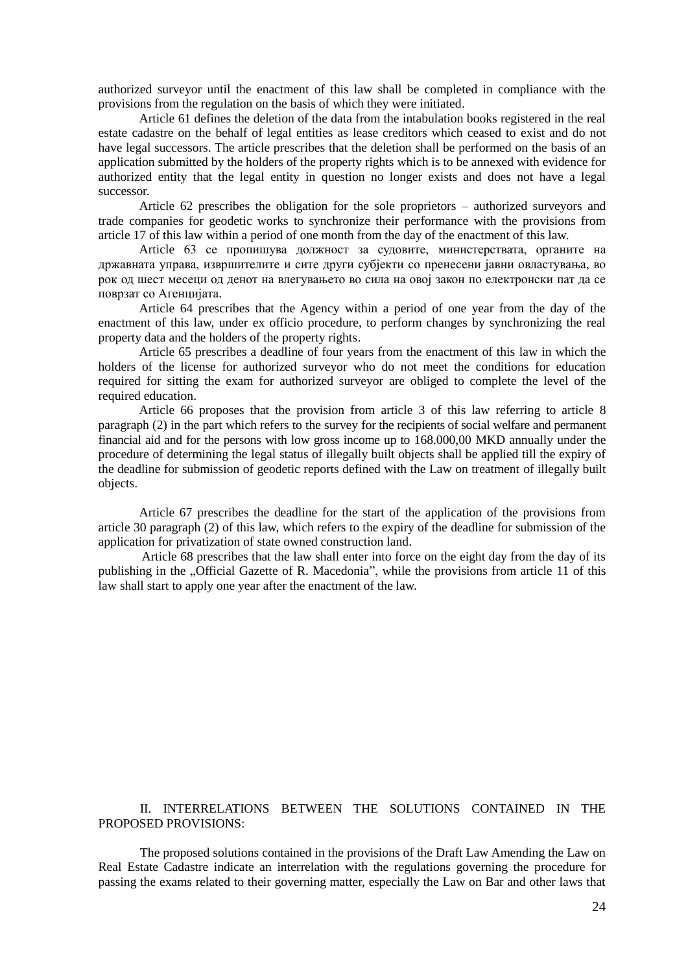authorized surveyor until the enactment of this law shall be completed in compliance with the provisions from the regulation on the basis of which they were initiated.

Article 61 defines the deletion of the data from the intabulation books registered in the real estate cadastre on the behalf of legal entities as lease creditors which ceased to exist and do not have legal successors. The article prescribes that the deletion shall be performed on the basis of an application submitted by the holders of the property rights which is to be annexed with evidence for authorized entity that the legal entity in question no longer exists and does not have a legal successor.

Article 62 prescribes the obligation for the sole proprietors – authorized surveyors and trade companies for geodetic works to synchronize their performance with the provisions from article 17 of this law within a period of one month from the day of the enactment of this law.

Article 63 се пропишува должност за судовите, министерствата, органите на државната управа, извршителите и сите други субјекти со пренесени јавни овластувања, во рок од шест месеци од денот на влегувањето во сила на овој закон по електронски пат да се поврзат со Агенцијата.

Article 64 prescribes that the Agency within a period of one year from the day of the enactment of this law, under ex officio procedure, to perform changes by synchronizing the real property data and the holders of the property rights.

Article 65 prescribes a deadline of four years from the enactment of this law in which the holders of the license for authorized surveyor who do not meet the conditions for education required for sitting the exam for authorized surveyor are obliged to complete the level of the required education.

Article 66 proposes that the provision from article 3 of this law referring to article 8 paragraph (2) in the part which refers to the survey for the recipients of social welfare and permanent financial aid and for the persons with low gross income up to 168.000,00 MKD annually under the procedure of determining the legal status of illegally built objects shall be applied till the expiry of the deadline for submission of geodetic reports defined with the Law on treatment of illegally built objects.

Article 67 prescribes the deadline for the start of the application of the provisions from article 30 paragraph (2) of this law, which refers to the expiry of the deadline for submission of the application for privatization of state owned construction land.

Article 68 prescribes that the law shall enter into force on the eight day from the day of its publishing in the "Official Gazette of R. Macedonia", while the provisions from article 11 of this law shall start to apply one year after the enactment of the law.

# II. INTERRELATIONS BETWEEN THE SOLUTIONS CONTAINED IN THE PROPOSED PROVISIONS:

The proposed solutions contained in the provisions of the Draft Law Amending the Law on Real Estate Cadastre indicate an interrelation with the regulations governing the procedure for passing the exams related to their governing matter, especially the Law on Bar and other laws that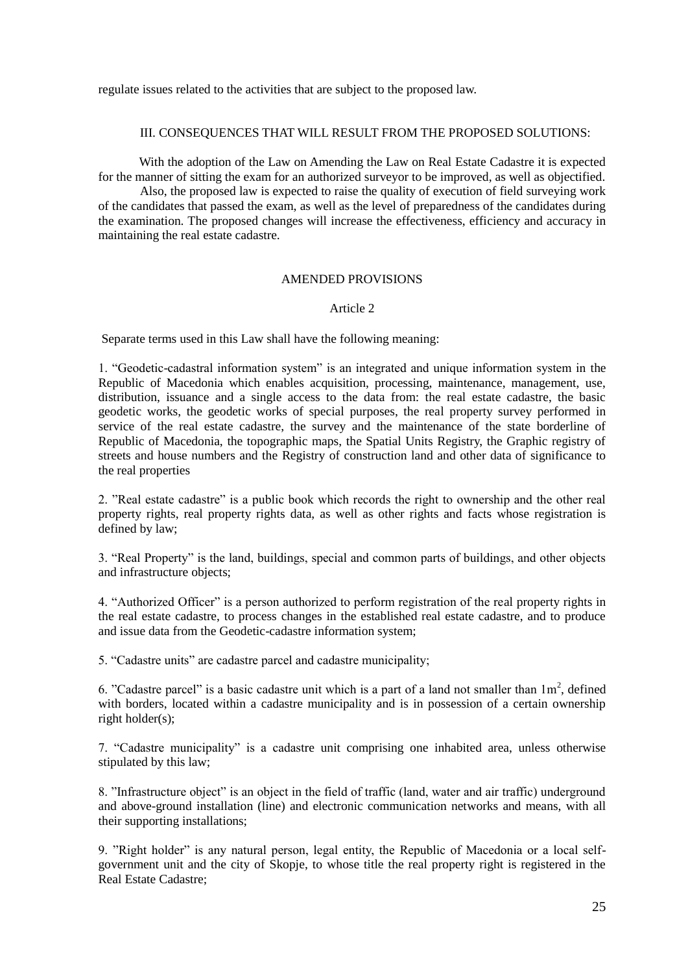regulate issues related to the activities that are subject to the proposed law.

## III. CONSEQUENCES THAT WILL RESULT FROM THE PROPOSED SOLUTIONS:

With the adoption of the Law on Amending the Law on Real Estate Cadastre it is expected for the manner of sitting the exam for an authorized surveyor to be improved, as well as objectified.

Also, the proposed law is expected to raise the quality of execution of field surveying work of the candidates that passed the exam, as well as the level of preparedness of the candidates during the examination. The proposed changes will increase the effectiveness, efficiency and accuracy in maintaining the real estate cadastre.

## AMENDED PROVISIONS

## Article 2

Separate terms used in this Law shall have the following meaning:

1. "Geodetic-cadastral information system" is an integrated and unique information system in the Republic of Macedonia which enables acquisition, processing, maintenance, management, use, distribution, issuance and a single access to the data from: the real estate cadastre, the basic geodetic works, the geodetic works of special purposes, the real property survey performed in service of the real estate cadastre, the survey and the maintenance of the state borderline of Republic of Macedonia, the topographic maps, the Spatial Units Registry, the Graphic registry of streets and house numbers and the Registry of construction land and other data of significance to the real properties

2. "Real estate cadastre" is a public book which records the right to ownership and the other real property rights, real property rights data, as well as other rights and facts whose registration is defined by law;

3. "Real Property" is the land, buildings, special and common parts of buildings, and other objects and infrastructure objects;

4. "Authorized Officer" is a person authorized to perform registration of the real property rights in the real estate cadastre, to process changes in the established real estate cadastre, and to produce and issue data from the Geodetic-cadastre information system;

5. "Cadastre units" are cadastre parcel and cadastre municipality;

6. "Cadastre parcel" is a basic cadastre unit which is a part of a land not smaller than  $1m^2$ , defined with borders, located within a cadastre municipality and is in possession of a certain ownership right holder(s);

7. "Cadastre municipality" is a cadastre unit comprising one inhabited area, unless otherwise stipulated by this law;

8. "Infrastructure object" is an object in the field of traffic (land, water and air traffic) underground and above-ground installation (line) and electronic communication networks and means, with all their supporting installations;

9. "Right holder" is any natural person, legal entity, the Republic of Macedonia or a local selfgovernment unit and the city of Skopje, to whose title the real property right is registered in the Real Estate Cadastre;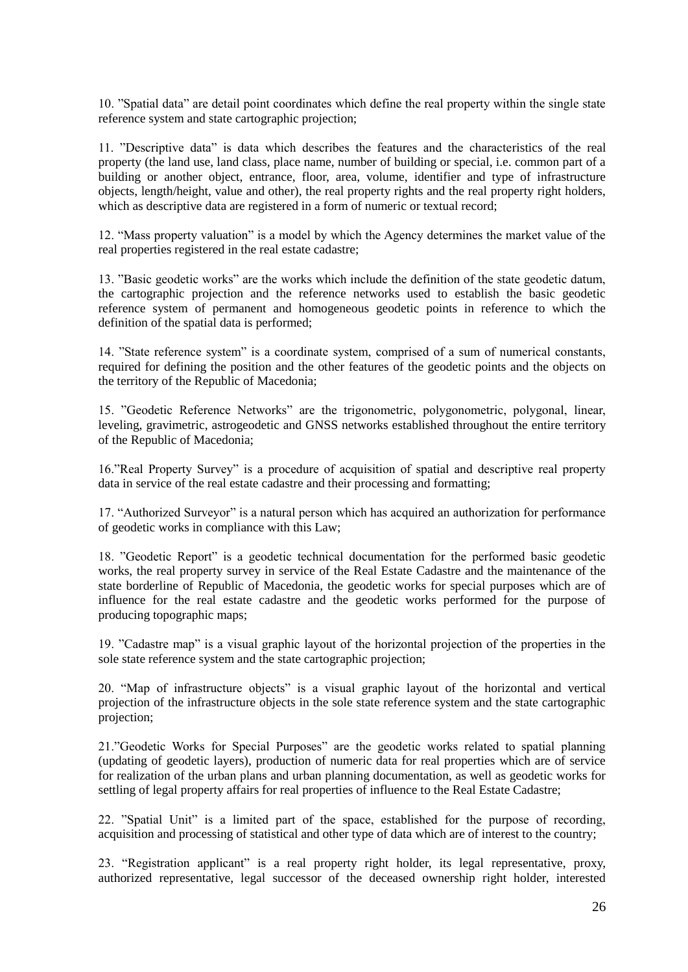10. "Spatial data" are detail point coordinates which define the real property within the single state reference system and state cartographic projection;

11. "Descriptive data" is data which describes the features and the characteristics of the real property (the land use, land class, place name, number of building or special, i.e. common part of a building or another object, entrance, floor, area, volume, identifier and type of infrastructure objects, length/height, value and other), the real property rights and the real property right holders, which as descriptive data are registered in a form of numeric or textual record;

12. "Mass property valuation" is a model by which the Agency determines the market value of the real properties registered in the real estate cadastre;

13. "Basic geodetic works" are the works which include the definition of the state geodetic datum, the cartographic projection and the reference networks used to establish the basic geodetic reference system of permanent and homogeneous geodetic points in reference to which the definition of the spatial data is performed;

14. "State reference system" is a coordinate system, comprised of a sum of numerical constants, required for defining the position and the other features of the geodetic points and the objects on the territory of the Republic of Macedonia;

15. "Geodetic Reference Networks" are the trigonometric, polygonometric, polygonal, linear, leveling, gravimetric, astrogeodetic and GNSS networks established throughout the entire territory of the Republic of Macedonia;

16."Real Property Survey" is a procedure of acquisition of spatial and descriptive real property data in service of the real estate cadastre and their processing and formatting;

17. "Authorized Surveyor" is a natural person which has acquired an authorization for performance of geodetic works in compliance with this Law;

18. "Geodetic Report" is a geodetic technical documentation for the performed basic geodetic works, the real property survey in service of the Real Estate Cadastre and the maintenance of the state borderline of Republic of Macedonia, the geodetic works for special purposes which are of influence for the real estate cadastre and the geodetic works performed for the purpose of producing topographic maps;

19. "Cadastre map" is a visual graphic layout of the horizontal projection of the properties in the sole state reference system and the state cartographic projection;

20. "Map of infrastructure objects" is a visual graphic layout of the horizontal and vertical projection of the infrastructure objects in the sole state reference system and the state cartographic projection;

21."Geodetic Works for Special Purposes" are the geodetic works related to spatial planning (updating of geodetic layers), production of numeric data for real properties which are of service for realization of the urban plans and urban planning documentation, as well as geodetic works for settling of legal property affairs for real properties of influence to the Real Estate Cadastre;

22. "Spatial Unit" is a limited part of the space, established for the purpose of recording, acquisition and processing of statistical and other type of data which are of interest to the country;

23. "Registration applicant" is a real property right holder, its legal representative, proxy, authorized representative, legal successor of the deceased ownership right holder, interested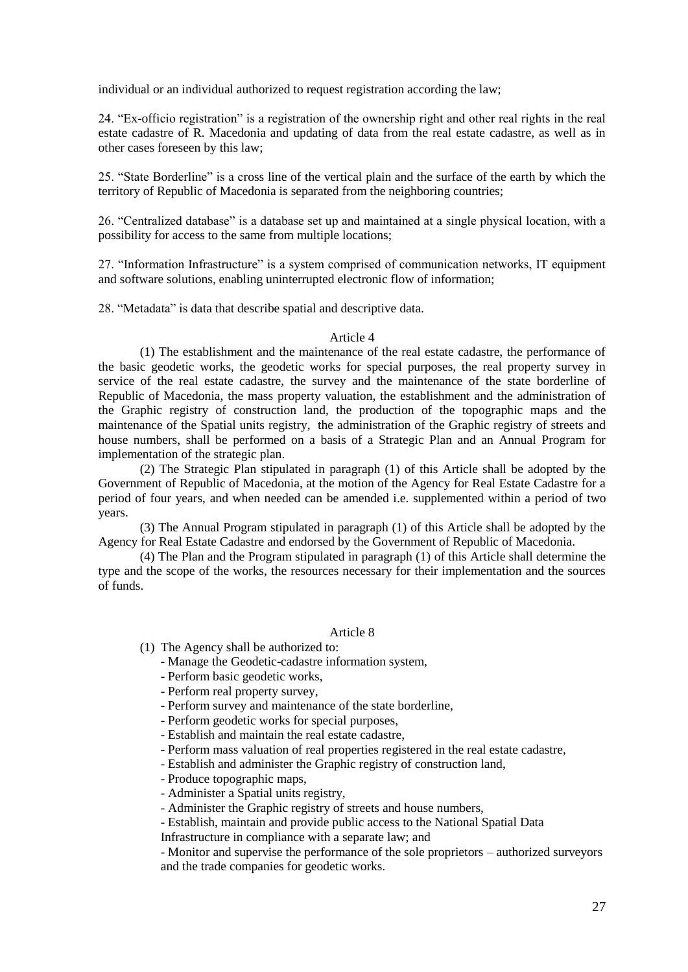individual or an individual authorized to request registration according the law;

24. "Ex-officio registration" is a registration of the ownership right and other real rights in the real estate cadastre of R. Macedonia and updating of data from the real estate cadastre, as well as in other cases foreseen by this law;

25. "State Borderline" is a cross line of the vertical plain and the surface of the earth by which the territory of Republic of Macedonia is separated from the neighboring countries;

26. "Centralized database" is a database set up and maintained at a single physical location, with a possibility for access to the same from multiple locations;

27. "Information Infrastructure" is a system comprised of communication networks, IT equipment and software solutions, enabling uninterrupted electronic flow of information;

28. "Metadata" is data that describe spatial and descriptive data.

## Article 4

(1) The establishment and the maintenance of the real estate cadastre, the performance of the basic geodetic works, the geodetic works for special purposes, the real property survey in service of the real estate cadastre, the survey and the maintenance of the state borderline of Republic of Macedonia, the mass property valuation, the establishment and the administration of the Graphic registry of construction land, the production of the topographic maps and the maintenance of the Spatial units registry, the administration of the Graphic registry of streets and house numbers, shall be performed on a basis of a Strategic Plan and an Annual Program for implementation of the strategic plan.

(2) The Strategic Plan stipulated in paragraph (1) of this Article shall be adopted by the Government of Republic of Macedonia, at the motion of the Agency for Real Estate Cadastre for a period of four years, and when needed can be amended i.e. supplemented within a period of two years.

(3) The Annual Program stipulated in paragraph (1) of this Article shall be adopted by the Agency for Real Estate Cadastre and endorsed by the Government of Republic of Macedonia.

(4) The Plan and the Program stipulated in paragraph (1) of this Article shall determine the type and the scope of the works, the resources necessary for their implementation and the sources of funds.

#### Article 8

(1) The Agency shall be authorized to:

- Manage the Geodetic-cadastre information system,
- Perform basic geodetic works,
- Perform real property survey,
- Perform survey and maintenance of the state borderline,
- Perform geodetic works for special purposes,
- Establish and maintain the real estate cadastre,
- Perform mass valuation of real properties registered in the real estate cadastre,
- Establish and administer the Graphic registry of construction land,
- Produce topographic maps,
- Administer a Spatial units registry,
- Administer the Graphic registry of streets and house numbers,
- Establish, maintain and provide public access to the National Spatial Data Infrastructure in compliance with a separate law; and

- Monitor and supervise the performance of the sole proprietors – authorized surveyors and the trade companies for geodetic works.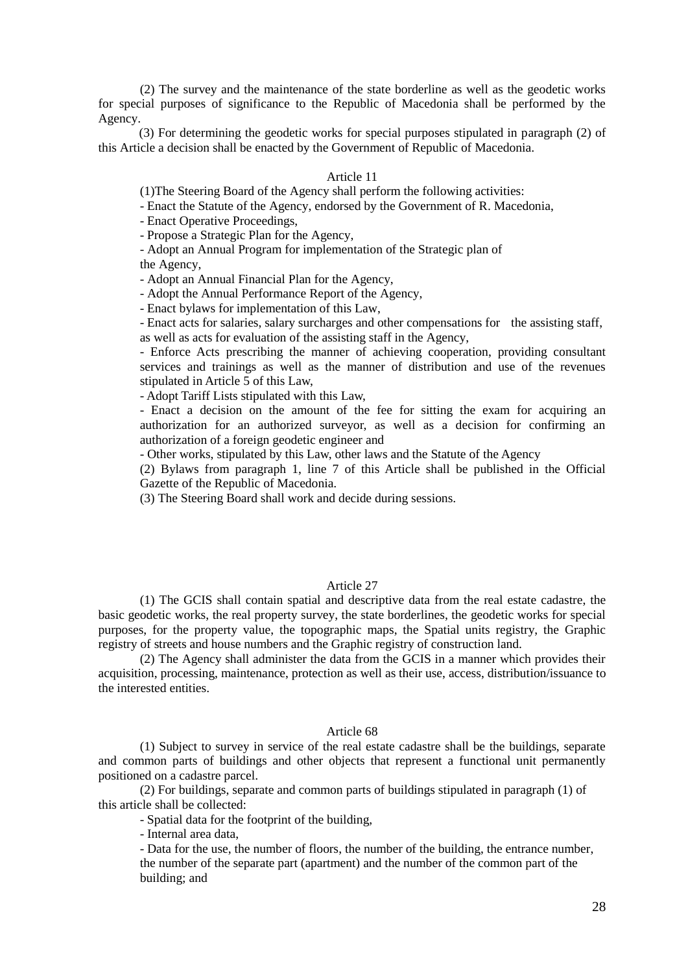(2) The survey and the maintenance of the state borderline as well as the geodetic works for special purposes of significance to the Republic of Macedonia shall be performed by the Agency.

(3) For determining the geodetic works for special purposes stipulated in paragraph (2) of this Article a decision shall be enacted by the Government of Republic of Macedonia.

### Article 11

(1)The Steering Board of the Agency shall perform the following activities:

- Enact the Statute of the Agency, endorsed by the Government of R. Macedonia,

- Enact Operative Proceedings,

- Propose a Strategic Plan for the Agency,

- Adopt an Annual Program for implementation of the Strategic plan of the Agency,

- Adopt an Annual Financial Plan for the Agency,

- Adopt the Annual Performance Report of the Agency,

- Enact bylaws for implementation of this Law,

- Enact acts for salaries, salary surcharges and other compensations for the assisting staff, as well as acts for evaluation of the assisting staff in the Agency,

- Enforce Acts prescribing the manner of achieving cooperation, providing consultant services and trainings as well as the manner of distribution and use of the revenues stipulated in Article 5 of this Law,

- Adopt Tariff Lists stipulated with this Law,

- Enact a decision on the amount of the fee for sitting the exam for acquiring an authorization for an authorized surveyor, as well as a decision for confirming an authorization of a foreign geodetic engineer and

- Other works, stipulated by this Law, other laws and the Statute of the Agency

(2) Bylaws from paragraph 1, line 7 of this Article shall be published in the Official Gazette of the Republic of Macedonia.

(3) The Steering Board shall work and decide during sessions.

### Article 27

(1) The GCIS shall contain spatial and descriptive data from the real estate cadastre, the basic geodetic works, the real property survey, the state borderlines, the geodetic works for special purposes, for the property value, the topographic maps, the Spatial units registry, the Graphic registry of streets and house numbers and the Graphic registry of construction land.

(2) The Agency shall administer the data from the GCIS in a manner which provides their acquisition, processing, maintenance, protection as well as their use, access, distribution/issuance to the interested entities.

#### Article 68

(1) Subject to survey in service of the real estate cadastre shall be the buildings, separate and common parts of buildings and other objects that represent a functional unit permanently positioned on a cadastre parcel.

(2) For buildings, separate and common parts of buildings stipulated in paragraph (1) of this article shall be collected:

- Spatial data for the footprint of the building,

- Internal area data,

- Data for the use, the number of floors, the number of the building, the entrance number, the number of the separate part (apartment) and the number of the common part of the building; and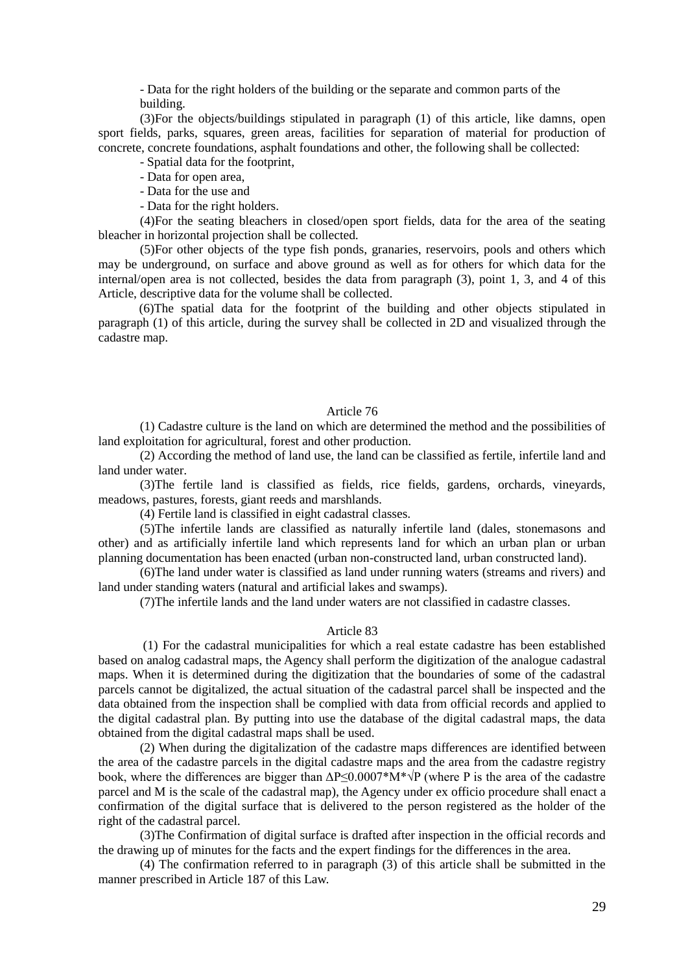- Data for the right holders of the building or the separate and common parts of the building.

(3)For the objects/buildings stipulated in paragraph (1) of this article, like damns, open sport fields, parks, squares, green areas, facilities for separation of material for production of concrete, concrete foundations, asphalt foundations and other, the following shall be collected:

- Spatial data for the footprint,

- Data for open area,

- Data for the use and

- Data for the right holders.

(4)For the seating bleachers in closed/open sport fields, data for the area of the seating bleacher in horizontal projection shall be collected.

(5)For other objects of the type fish ponds, granaries, reservoirs, pools and others which may be underground, on surface and above ground as well as for others for which data for the internal/open area is not collected, besides the data from paragraph (3), point 1, 3, and 4 of this Article, descriptive data for the volume shall be collected.

(6)The spatial data for the footprint of the building and other objects stipulated in paragraph (1) of this article, during the survey shall be collected in 2D and visualized through the cadastre map.

# Article 76

(1) Cadastre culture is the land on which are determined the method and the possibilities of land exploitation for agricultural, forest and other production.

(2) According the method of land use, the land can be classified as fertile, infertile land and land under water.

(3)The fertile land is classified as fields, rice fields, gardens, orchards, vineyards, meadows, pastures, forests, giant reeds and marshlands.

(4) Fertile land is classified in eight cadastral classes.

(5)The infertile lands are classified as naturally infertile land (dales, stonemasons and other) and as artificially infertile land which represents land for which an urban plan or urban planning documentation has been enacted (urban non-constructed land, urban constructed land).

(6)The land under water is classified as land under running waters (streams and rivers) and land under standing waters (natural and artificial lakes and swamps).

(7)The infertile lands and the land under waters are not classified in cadastre classes.

#### Article 83

(1) For the cadastral municipalities for which a real estate cadastre has been established based on analog cadastral maps, the Agency shall perform the digitization of the analogue cadastral maps. When it is determined during the digitization that the boundaries of some of the cadastral parcels cannot be digitalized, the actual situation of the cadastral parcel shall be inspected and the data obtained from the inspection shall be complied with data from official records and applied to the digital cadastral plan. By putting into use the database of the digital cadastral maps, the data obtained from the digital cadastral maps shall be used.

(2) When during the digitalization of the cadastre maps differences are identified between the area of the cadastre parcels in the digital cadastre maps and the area from the cadastre registry book, where the differences are bigger than  $\Delta P \leq 0.0007 \times \hat{M}^* \sqrt{P}$  (where P is the area of the cadastre parcel and M is the scale of the cadastral map), the Agency under ex officio procedure shall enact a confirmation of the digital surface that is delivered to the person registered as the holder of the right of the cadastral parcel.

(3)The Confirmation of digital surface is drafted after inspection in the official records and the drawing up of minutes for the facts and the expert findings for the differences in the area.

(4) The confirmation referred to in paragraph (3) of this article shall be submitted in the manner prescribed in Article 187 of this Law.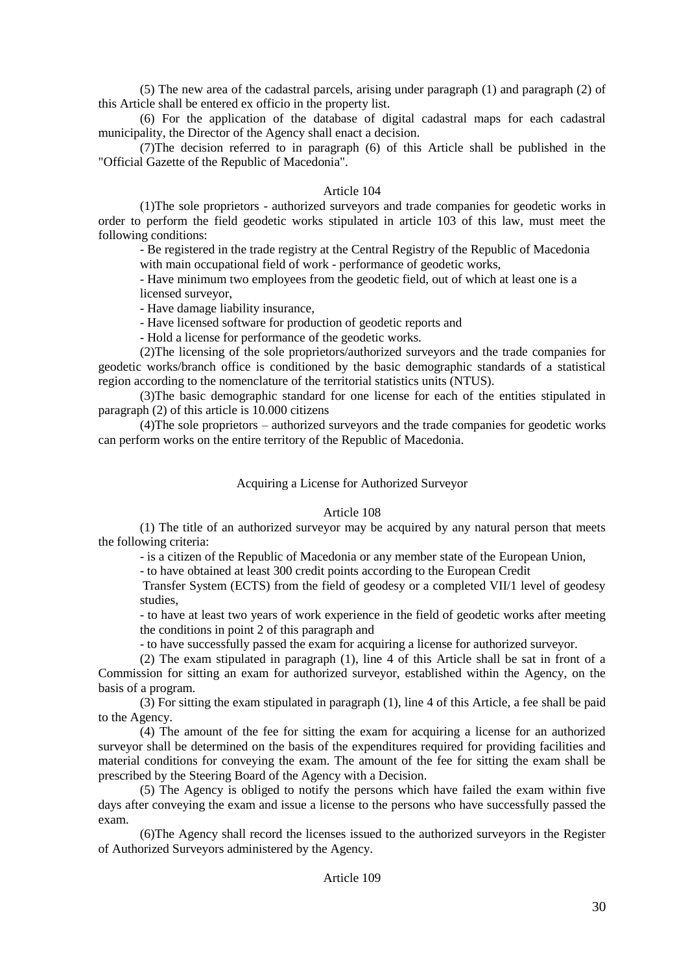(5) The new area of the cadastral parcels, arising under paragraph (1) and paragraph (2) of this Article shall be entered ex officio in the property list.

(6) For the application of the database of digital cadastral maps for each cadastral municipality, the Director of the Agency shall enact a decision.

(7)The decision referred to in paragraph (6) of this Article shall be published in the "Official Gazette of the Republic of Macedonia".

## Article 104

(1)The sole proprietors - authorized surveyors and trade companies for geodetic works in order to perform the field geodetic works stipulated in article 103 of this law, must meet the following conditions:

- Be registered in the trade registry at the Central Registry of the Republic of Macedonia

with main occupational field of work - performance of geodetic works,

- Have minimum two employees from the geodetic field, out of which at least one is a licensed surveyor,

- Have damage liability insurance,

- Have licensed software for production of geodetic reports and

- Hold a license for performance of the geodetic works.

(2)The licensing of the sole proprietors/authorized surveyors and the trade companies for geodetic works/branch office is conditioned by the basic demographic standards of a statistical region according to the nomenclature of the territorial statistics units (NTUS).

(3)The basic demographic standard for one license for each of the entities stipulated in paragraph (2) of this article is 10.000 citizens

(4)The sole proprietors – authorized surveyors and the trade companies for geodetic works can perform works on the entire territory of the Republic of Macedonia.

## Acquiring a License for Authorized Surveyor

### Article 108

(1) The title of an authorized surveyor may be acquired by any natural person that meets the following criteria:

- is a citizen of the Republic of Macedonia or any member state of the European Union,

- to have obtained at least 300 credit points according to the European Credit

Transfer System (ECTS) from the field of geodesy or a completed VII/1 level of geodesy studies,

- to have at least two years of work experience in the field of geodetic works after meeting the conditions in point 2 of this paragraph and

- to have successfully passed the exam for acquiring a license for authorized surveyor.

(2) The exam stipulated in paragraph (1), line 4 of this Article shall be sat in front of a Commission for sitting an exam for authorized surveyor, established within the Agency, on the basis of a program.

(3) For sitting the exam stipulated in paragraph (1), line 4 of this Article, a fee shall be paid to the Agency.

(4) The amount of the fee for sitting the exam for acquiring a license for an authorized surveyor shall be determined on the basis of the expenditures required for providing facilities and material conditions for conveying the exam. The amount of the fee for sitting the exam shall be prescribed by the Steering Board of the Agency with a Decision.

(5) The Agency is obliged to notify the persons which have failed the exam within five days after conveying the exam and issue a license to the persons who have successfully passed the exam.

(6)The Agency shall record the licenses issued to the authorized surveyors in the Register of Authorized Surveyors administered by the Agency.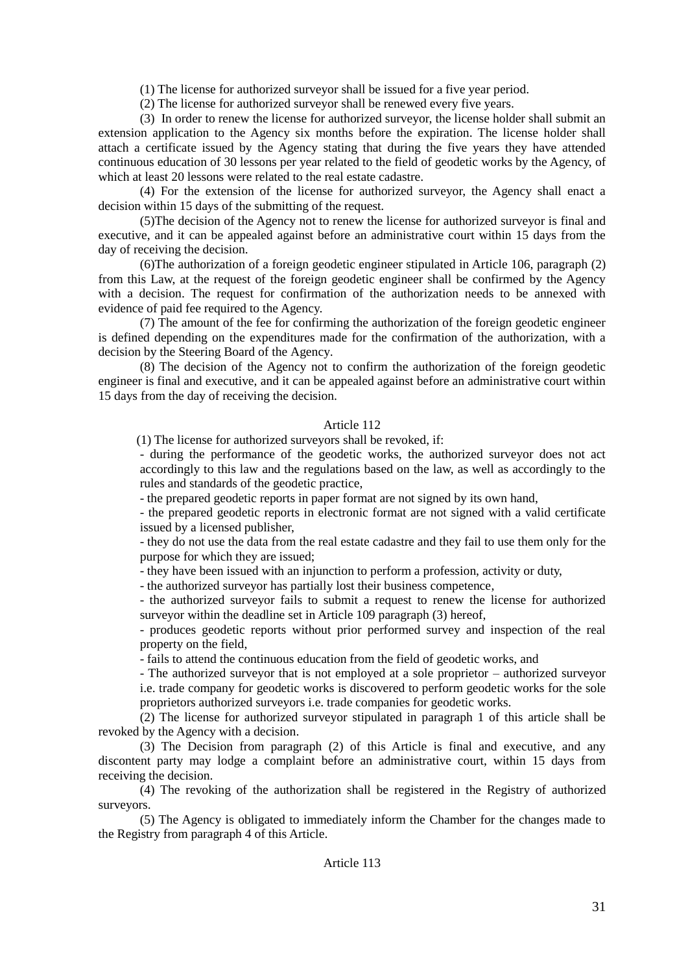(1) The license for authorized surveyor shall be issued for a five year period.

(2) The license for authorized surveyor shall be renewed every five years.

(3) In order to renew the license for authorized surveyor, the license holder shall submit an extension application to the Agency six months before the expiration. The license holder shall attach a certificate issued by the Agency stating that during the five years they have attended continuous education of 30 lessons per year related to the field of geodetic works by the Agency, of which at least 20 lessons were related to the real estate cadastre.

(4) For the extension of the license for authorized surveyor, the Agency shall enact a decision within 15 days of the submitting of the request.

(5)The decision of the Agency not to renew the license for authorized surveyor is final and executive, and it can be appealed against before an administrative court within 15 days from the day of receiving the decision.

(6)The authorization of a foreign geodetic engineer stipulated in Article 106, paragraph (2) from this Law, at the request of the foreign geodetic engineer shall be confirmed by the Agency with a decision. The request for confirmation of the authorization needs to be annexed with evidence of paid fee required to the Agency.

(7) The amount of the fee for confirming the authorization of the foreign geodetic engineer is defined depending on the expenditures made for the confirmation of the authorization, with a decision by the Steering Board of the Agency.

(8) The decision of the Agency not to confirm the authorization of the foreign geodetic engineer is final and executive, and it can be appealed against before an administrative court within 15 days from the day of receiving the decision.

# Article 112

(1) The license for authorized surveyors shall be revoked, if:

- during the performance of the geodetic works, the authorized surveyor does not act accordingly to this law and the regulations based on the law, as well as accordingly to the rules and standards of the geodetic practice,

- the prepared geodetic reports in paper format are not signed by its own hand,

- the prepared geodetic reports in electronic format are not signed with a valid certificate issued by a licensed publisher,

- they do not use the data from the real estate cadastre and they fail to use them only for the purpose for which they are issued;

- they have been issued with an injunction to perform a profession, activity or duty,

- the authorized surveyor has partially lost their business competence,

- the authorized surveyor fails to submit a request to renew the license for authorized surveyor within the deadline set in Article 109 paragraph (3) hereof,

- produces geodetic reports without prior performed survey and inspection of the real property on the field,

- fails to attend the continuous education from the field of geodetic works, and

- The authorized surveyor that is not employed at a sole proprietor – authorized surveyor i.e. trade company for geodetic works is discovered to perform geodetic works for the sole proprietors authorized surveyors i.e. trade companies for geodetic works.

(2) The license for authorized surveyor stipulated in paragraph 1 of this article shall be revoked by the Agency with a decision.

(3) The Decision from paragraph (2) of this Article is final and executive, and any discontent party may lodge a complaint before an administrative court, within 15 days from receiving the decision.

(4) The revoking of the authorization shall be registered in the Registry of authorized surveyors.

(5) The Agency is obligated to immediately inform the Chamber for the changes made to the Registry from paragraph 4 of this Article.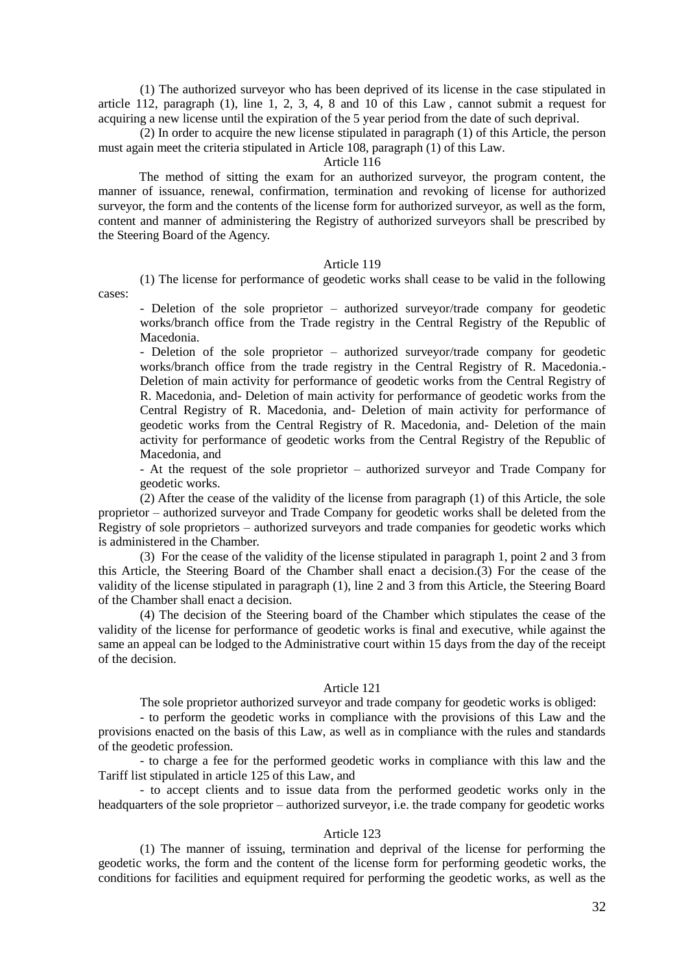(1) The authorized surveyor who has been deprived of its license in the case stipulated in article 112, paragraph  $(1)$ , line 1, 2, 3, 4, 8 and 10 of this Law, cannot submit a request for acquiring a new license until the expiration of the 5 year period from the date of such deprival.

(2) In order to acquire the new license stipulated in paragraph (1) of this Article, the person must again meet the criteria stipulated in Article 108, paragraph (1) of this Law.

### Article 116

The method of sitting the exam for an authorized surveyor, the program content, the manner of issuance, renewal, confirmation, termination and revoking of license for authorized surveyor, the form and the contents of the license form for authorized surveyor, as well as the form, content and manner of administering the Registry of authorized surveyors shall be prescribed by the Steering Board of the Agency.

## Article 119

(1) The license for performance of geodetic works shall cease to be valid in the following

cases:

- Deletion of the sole proprietor – authorized surveyor/trade company for geodetic works/branch office from the Trade registry in the Central Registry of the Republic of Macedonia.

- Deletion of the sole proprietor – authorized surveyor/trade company for geodetic works/branch office from the trade registry in the Central Registry of R. Macedonia.- Deletion of main activity for performance of geodetic works from the Central Registry of R. Macedonia, and- Deletion of main activity for performance of geodetic works from the Central Registry of R. Macedonia, and- Deletion of main activity for performance of geodetic works from the Central Registry of R. Macedonia, and- Deletion of the main activity for performance of geodetic works from the Central Registry of the Republic of Macedonia, and

- At the request of the sole proprietor – authorized surveyor and Trade Company for geodetic works.

(2) After the cease of the validity of the license from paragraph (1) of this Article, the sole proprietor – authorized surveyor and Trade Company for geodetic works shall be deleted from the Registry of sole proprietors – authorized surveyors and trade companies for geodetic works which is administered in the Chamber.

(3) For the cease of the validity of the license stipulated in paragraph 1, point 2 and 3 from this Article, the Steering Board of the Chamber shall enact a decision.(3) For the cease of the validity of the license stipulated in paragraph (1), line 2 and 3 from this Article, the Steering Board of the Chamber shall enact a decision.

(4) The decision of the Steering board of the Chamber which stipulates the cease of the validity of the license for performance of geodetic works is final and executive, while against the same an appeal can be lodged to the Administrative court within 15 days from the day of the receipt of the decision.

## Article 121

The sole proprietor authorized surveyor and trade company for geodetic works is obliged:

- to perform the geodetic works in compliance with the provisions of this Law and the provisions enacted on the basis of this Law, as well as in compliance with the rules and standards of the geodetic profession.

- to charge a fee for the performed geodetic works in compliance with this law and the Tariff list stipulated in article 125 of this Law, and

- to accept clients and to issue data from the performed geodetic works only in the headquarters of the sole proprietor – authorized surveyor, i.e. the trade company for geodetic works

#### Article 123

(1) The manner of issuing, termination and deprival of the license for performing the geodetic works, the form and the content of the license form for performing geodetic works, the conditions for facilities and equipment required for performing the geodetic works, as well as the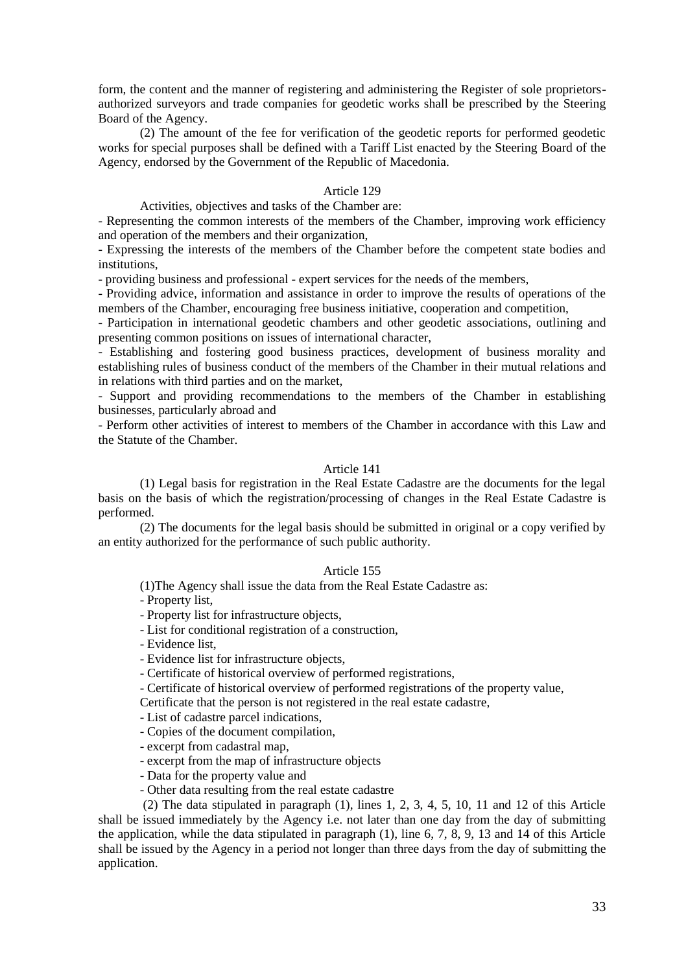form, the content and the manner of registering and administering the Register of sole proprietorsauthorized surveyors and trade companies for geodetic works shall be prescribed by the Steering Board of the Agency.

(2) The amount of the fee for verification of the geodetic reports for performed geodetic works for special purposes shall be defined with a Tariff List enacted by the Steering Board of the Agency, endorsed by the Government of the Republic of Macedonia.

## Article 129

Activities, objectives and tasks of the Chamber are:

- Representing the common interests of the members of the Chamber, improving work efficiency and operation of the members and their organization,

- Expressing the interests of the members of the Chamber before the competent state bodies and institutions,

- providing business and professional - expert services for the needs of the members,

- Providing advice, information and assistance in order to improve the results of operations of the members of the Chamber, encouraging free business initiative, cooperation and competition,

- Participation in international geodetic chambers and other geodetic associations, outlining and presenting common positions on issues of international character,

- Establishing and fostering good business practices, development of business morality and establishing rules of business conduct of the members of the Chamber in their mutual relations and in relations with third parties and on the market,

- Support and providing recommendations to the members of the Chamber in establishing businesses, particularly abroad and

- Perform other activities of interest to members of the Chamber in accordance with this Law and the Statute of the Chamber.

## Article 141

(1) Legal basis for registration in the Real Estate Cadastre are the documents for the legal basis on the basis of which the registration/processing of changes in the Real Estate Cadastre is performed.

(2) The documents for the legal basis should be submitted in original or a copy verified by an entity authorized for the performance of such public authority.

## Article 155

(1)The Agency shall issue the data from the Real Estate Cadastre as:

- Property list,

- Property list for infrastructure objects,

- List for conditional registration of a construction,

- Evidence list,

- Evidence list for infrastructure objects,

- Certificate of historical overview of performed registrations,

- Certificate of historical overview of performed registrations of the property value,

Certificate that the person is not registered in the real estate cadastre,

- List of cadastre parcel indications,

- Copies of the document compilation,

- excerpt from cadastral map,

- excerpt from the map of infrastructure objects

- Data for the property value and

- Other data resulting from the real estate cadastre

(2) The data stipulated in paragraph (1), lines 1, 2, 3, 4, 5, 10, 11 and 12 of this Article shall be issued immediately by the Agency i.e. not later than one day from the day of submitting the application, while the data stipulated in paragraph (1), line 6, 7, 8, 9, 13 and 14 of this Article shall be issued by the Agency in a period not longer than three days from the day of submitting the application.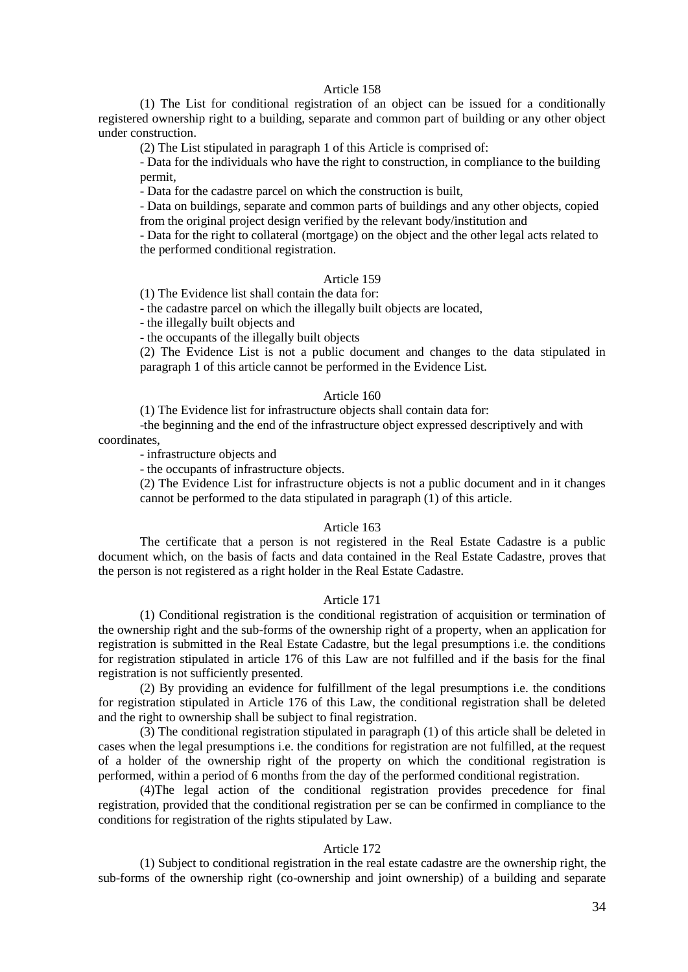## Article 158

(1) The List for conditional registration of an object can be issued for a conditionally registered ownership right to a building, separate and common part of building or any other object under construction.

(2) The List stipulated in paragraph 1 of this Article is comprised of:

- Data for the individuals who have the right to construction, in compliance to the building permit,

- Data for the cadastre parcel on which the construction is built,

- Data on buildings, separate and common parts of buildings and any other objects, copied from the original project design verified by the relevant body/institution and

- Data for the right to collateral (mortgage) on the object and the other legal acts related to the performed conditional registration.

### Article 159

(1) The Evidence list shall contain the data for:

- the cadastre parcel on which the illegally built objects are located,

- the illegally built objects and

- the occupants of the illegally built objects

(2) The Evidence List is not a public document and changes to the data stipulated in paragraph 1 of this article cannot be performed in the Evidence List.

### Article 160

(1) The Evidence list for infrastructure objects shall contain data for:

-the beginning and the end of the infrastructure object expressed descriptively and with coordinates,

- infrastructure objects and

- the occupants of infrastructure objects.

(2) The Evidence List for infrastructure objects is not a public document and in it changes cannot be performed to the data stipulated in paragraph (1) of this article.

### Article 163

The certificate that a person is not registered in the Real Estate Cadastre is a public document which, on the basis of facts and data contained in the Real Estate Cadastre, proves that the person is not registered as a right holder in the Real Estate Cadastre.

## Article 171

(1) Conditional registration is the conditional registration of acquisition or termination of the ownership right and the sub-forms of the ownership right of a property, when an application for registration is submitted in the Real Estate Cadastre, but the legal presumptions i.e. the conditions for registration stipulated in article 176 of this Law are not fulfilled and if the basis for the final registration is not sufficiently presented.

(2) By providing an evidence for fulfillment of the legal presumptions i.e. the conditions for registration stipulated in Article 176 of this Law, the conditional registration shall be deleted and the right to ownership shall be subject to final registration.

(3) The conditional registration stipulated in paragraph (1) of this article shall be deleted in cases when the legal presumptions i.e. the conditions for registration are not fulfilled, at the request of a holder of the ownership right of the property on which the conditional registration is performed, within a period of 6 months from the day of the performed conditional registration.

(4)The legal action of the conditional registration provides precedence for final registration, provided that the conditional registration per se can be confirmed in compliance to the conditions for registration of the rights stipulated by Law.

## Article 172

(1) Subject to conditional registration in the real estate cadastre are the ownership right, the sub-forms of the ownership right (co-ownership and joint ownership) of a building and separate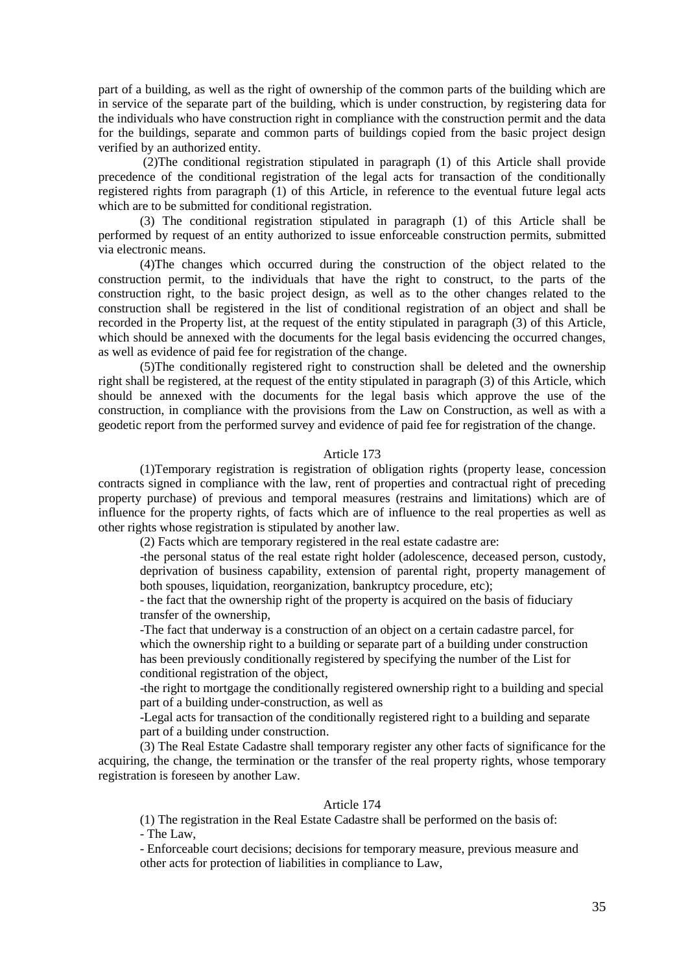part of a building, as well as the right of ownership of the common parts of the building which are in service of the separate part of the building, which is under construction, by registering data for the individuals who have construction right in compliance with the construction permit and the data for the buildings, separate and common parts of buildings copied from the basic project design verified by an authorized entity.

(2)The conditional registration stipulated in paragraph (1) of this Article shall provide precedence of the conditional registration of the legal acts for transaction of the conditionally registered rights from paragraph (1) of this Article, in reference to the eventual future legal acts which are to be submitted for conditional registration.

(3) The conditional registration stipulated in paragraph (1) of this Article shall be performed by request of an entity authorized to issue enforceable construction permits, submitted via electronic means.

(4)The changes which occurred during the construction of the object related to the construction permit, to the individuals that have the right to construct, to the parts of the construction right, to the basic project design, as well as to the other changes related to the construction shall be registered in the list of conditional registration of an object and shall be recorded in the Property list, at the request of the entity stipulated in paragraph (3) of this Article, which should be annexed with the documents for the legal basis evidencing the occurred changes, as well as evidence of paid fee for registration of the change.

(5)The conditionally registered right to construction shall be deleted and the ownership right shall be registered, at the request of the entity stipulated in paragraph (3) of this Article, which should be annexed with the documents for the legal basis which approve the use of the construction, in compliance with the provisions from the Law on Construction, as well as with a geodetic report from the performed survey and evidence of paid fee for registration of the change.

## Article 173

(1)Temporary registration is registration of obligation rights (property lease, concession contracts signed in compliance with the law, rent of properties and contractual right of preceding property purchase) of previous and temporal measures (restrains and limitations) which are of influence for the property rights, of facts which are of influence to the real properties as well as other rights whose registration is stipulated by another law.

(2) Facts which are temporary registered in the real estate cadastre are:

-the personal status of the real estate right holder (adolescence, deceased person, custody, deprivation of business capability, extension of parental right, property management of both spouses, liquidation, reorganization, bankruptcy procedure, etc);

- the fact that the ownership right of the property is acquired on the basis of fiduciary transfer of the ownership,

-The fact that underway is a construction of an object on a certain cadastre parcel, for which the ownership right to a building or separate part of a building under construction has been previously conditionally registered by specifying the number of the List for conditional registration of the object,

-the right to mortgage the conditionally registered ownership right to a building and special part of a building under-construction, as well as

-Legal acts for transaction of the conditionally registered right to a building and separate part of a building under construction.

(3) The Real Estate Cadastre shall temporary register any other facts of significance for the acquiring, the change, the termination or the transfer of the real property rights, whose temporary registration is foreseen by another Law.

## Article 174

(1) The registration in the Real Estate Cadastre shall be performed on the basis of: - The Law,

- Enforceable court decisions; decisions for temporary measure, previous measure and other acts for protection of liabilities in compliance to Law,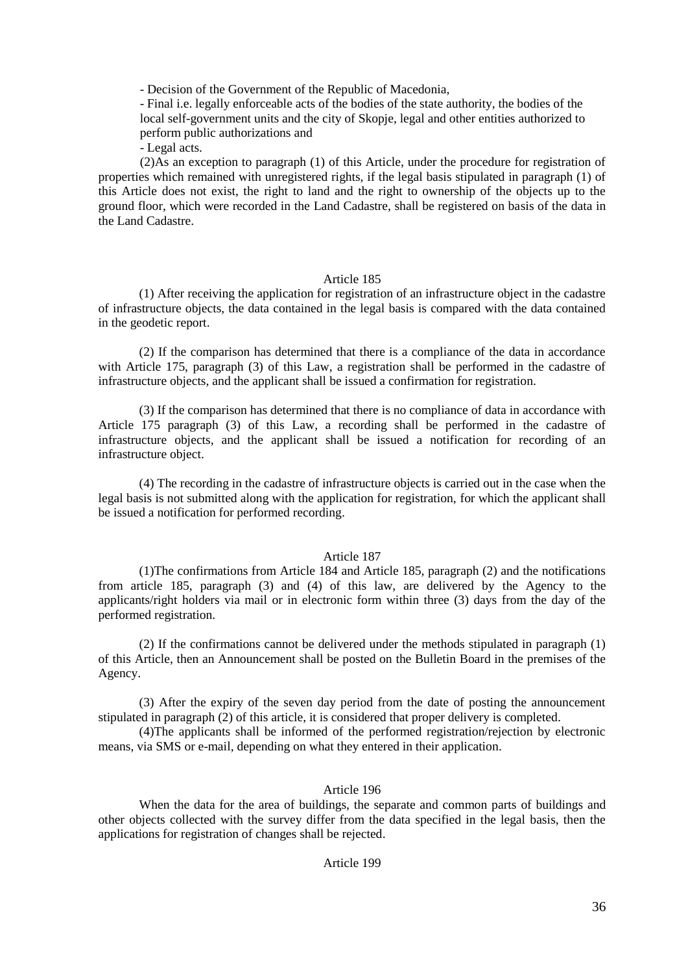- Decision of the Government of the Republic of Macedonia,

- Final i.e. legally enforceable acts of the bodies of the state authority, the bodies of the local self-government units and the city of Skopje, legal and other entities authorized to perform public authorizations and

- Legal acts.

(2)As an exception to paragraph (1) of this Article, under the procedure for registration of properties which remained with unregistered rights, if the legal basis stipulated in paragraph (1) of this Article does not exist, the right to land and the right to ownership of the objects up to the ground floor, which were recorded in the Land Cadastre, shall be registered on basis of the data in the Land Cadastre.

### Article 185

(1) After receiving the application for registration of an infrastructure object in the cadastre of infrastructure objects, the data contained in the legal basis is compared with the data contained in the geodetic report.

(2) If the comparison has determined that there is a compliance of the data in accordance with Article 175, paragraph (3) of this Law, a registration shall be performed in the cadastre of infrastructure objects, and the applicant shall be issued a confirmation for registration.

(3) If the comparison has determined that there is no compliance of data in accordance with Article 175 paragraph (3) of this Law, a recording shall be performed in the cadastre of infrastructure objects, and the applicant shall be issued a notification for recording of an infrastructure object.

(4) The recording in the cadastre of infrastructure objects is carried out in the case when the legal basis is not submitted along with the application for registration, for which the applicant shall be issued a notification for performed recording.

#### Article 187

(1)The confirmations from Article 184 and Article 185, paragraph (2) and the notifications from article 185, paragraph (3) and (4) of this law, are delivered by the Agency to the applicants/right holders via mail or in electronic form within three (3) days from the day of the performed registration.

(2) If the confirmations cannot be delivered under the methods stipulated in paragraph (1) of this Article, then an Announcement shall be posted on the Bulletin Board in the premises of the Agency.

(3) After the expiry of the seven day period from the date of posting the announcement stipulated in paragraph (2) of this article, it is considered that proper delivery is completed.

(4)The applicants shall be informed of the performed registration/rejection by electronic means, via SMS or e-mail, depending on what they entered in their application.

# Article 196

When the data for the area of buildings, the separate and common parts of buildings and other objects collected with the survey differ from the data specified in the legal basis, then the applications for registration of changes shall be rejected.

## Article 199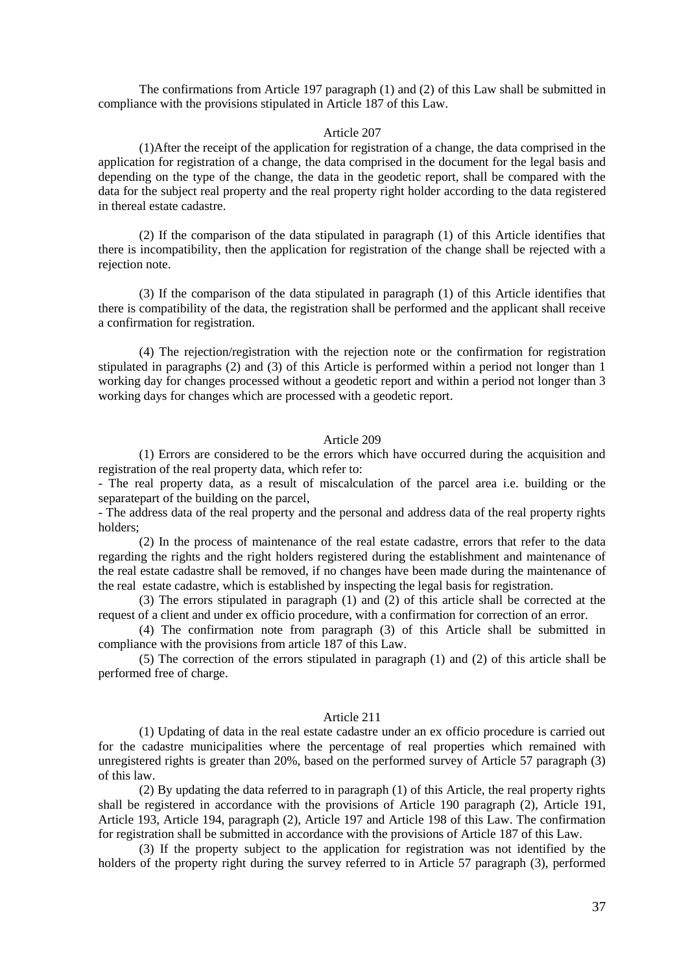The confirmations from Article 197 paragraph (1) and (2) of this Law shall be submitted in compliance with the provisions stipulated in Article 187 of this Law.

#### Article 207

(1)After the receipt of the application for registration of a change, the data comprised in the application for registration of a change, the data comprised in the document for the legal basis and depending on the type of the change, the data in the geodetic report, shall be compared with the data for the subject real property and the real property right holder according to the data registered in thereal estate cadastre.

(2) If the comparison of the data stipulated in paragraph (1) of this Article identifies that there is incompatibility, then the application for registration of the change shall be rejected with a rejection note.

(3) If the comparison of the data stipulated in paragraph (1) of this Article identifies that there is compatibility of the data, the registration shall be performed and the applicant shall receive a confirmation for registration.

(4) The rejection/registration with the rejection note or the confirmation for registration stipulated in paragraphs (2) and (3) of this Article is performed within a period not longer than 1 working day for changes processed without a geodetic report and within a period not longer than 3 working days for changes which are processed with a geodetic report.

#### Article 209

(1) Errors are considered to be the errors which have occurred during the acquisition and registration of the real property data, which refer to:

- The real property data, as a result of miscalculation of the parcel area i.e. building or the separatepart of the building on the parcel,

- The address data of the real property and the personal and address data of the real property rights holders;

(2) In the process of maintenance of the real estate cadastre, errors that refer to the data regarding the rights and the right holders registered during the establishment and maintenance of the real estate cadastre shall be removed, if no changes have been made during the maintenance of the real estate cadastre, which is established by inspecting the legal basis for registration.

(3) The errors stipulated in paragraph (1) and (2) of this article shall be corrected at the request of a client and under ex officio procedure, with a confirmation for correction of an error.

(4) The confirmation note from paragraph (3) of this Article shall be submitted in compliance with the provisions from article 187 of this Law.

(5) The correction of the errors stipulated in paragraph (1) and (2) of this article shall be performed free of charge.

## Article 211

(1) Updating of data in the real estate cadastre under an ex officio procedure is carried out for the cadastre municipalities where the percentage of real properties which remained with unregistered rights is greater than 20%, based on the performed survey of Article 57 paragraph (3) of this law.

(2) By updating the data referred to in paragraph (1) of this Article, the real property rights shall be registered in accordance with the provisions of Article 190 paragraph (2), Article 191, Article 193, Article 194, paragraph (2), Article 197 and Article 198 of this Law. The confirmation for registration shall be submitted in accordance with the provisions of Article 187 of this Law.

(3) If the property subject to the application for registration was not identified by the holders of the property right during the survey referred to in Article 57 paragraph (3), performed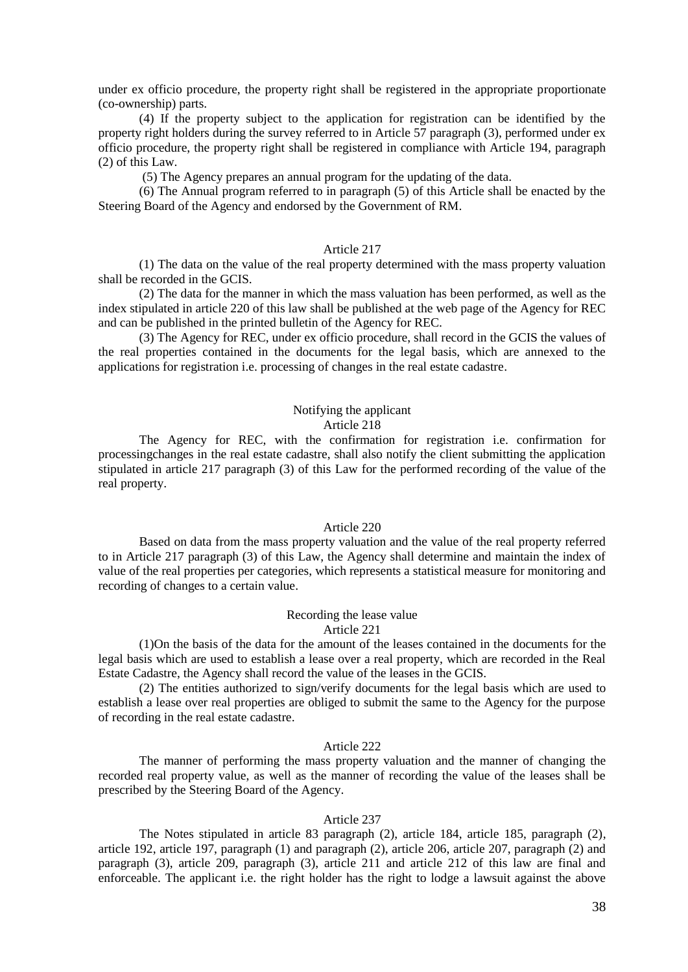under ex officio procedure, the property right shall be registered in the appropriate proportionate (co-ownership) parts.

(4) If the property subject to the application for registration can be identified by the property right holders during the survey referred to in Article 57 paragraph (3), performed under ex officio procedure, the property right shall be registered in compliance with Article 194, paragraph (2) of this Law.

(5) The Agency prepares an annual program for the updating of the data.

(6) The Annual program referred to in paragraph (5) of this Article shall be enacted by the Steering Board of the Agency and endorsed by the Government of RM.

## Article 217

(1) The data on the value of the real property determined with the mass property valuation shall be recorded in the GCIS.

(2) The data for the manner in which the mass valuation has been performed, as well as the index stipulated in article 220 of this law shall be published at the web page of the Agency for REC and can be published in the printed bulletin of the Agency for REC.

(3) The Agency for REC, under ex officio procedure, shall record in the GCIS the values of the real properties contained in the documents for the legal basis, which are annexed to the applications for registration i.e. processing of changes in the real estate cadastre.

## Notifying the applicant Article 218

The Agency for REC, with the confirmation for registration i.e. confirmation for processingchanges in the real estate cadastre, shall also notify the client submitting the application stipulated in article 217 paragraph (3) of this Law for the performed recording of the value of the real property.

## Article 220

Based on data from the mass property valuation and the value of the real property referred to in Article 217 paragraph (3) of this Law, the Agency shall determine and maintain the index of value of the real properties per categories, which represents a statistical measure for monitoring and recording of changes to a certain value.

# Recording the lease value

# Article 221

(1)On the basis of the data for the amount of the leases contained in the documents for the legal basis which are used to establish a lease over a real property, which are recorded in the Real Estate Cadastre, the Agency shall record the value of the leases in the GCIS.

(2) The entities authorized to sign/verify documents for the legal basis which are used to establish a lease over real properties are obliged to submit the same to the Agency for the purpose of recording in the real estate cadastre.

### Article 222

The manner of performing the mass property valuation and the manner of changing the recorded real property value, as well as the manner of recording the value of the leases shall be prescribed by the Steering Board of the Agency.

#### Article 237

The Notes stipulated in article 83 paragraph (2), article 184, article 185, paragraph (2), article 192, article 197, paragraph (1) and paragraph (2), article 206, article 207, paragraph (2) and paragraph (3), article 209, paragraph (3), article 211 and article 212 of this law are final and enforceable. The applicant i.e. the right holder has the right to lodge a lawsuit against the above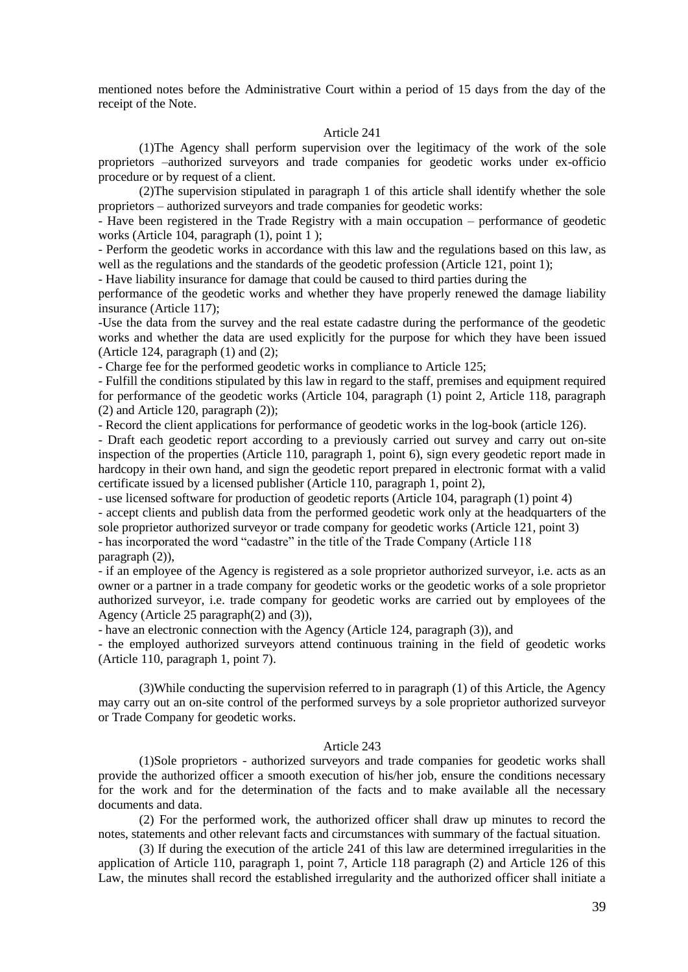mentioned notes before the Administrative Court within a period of 15 days from the day of the receipt of the Note.

## Article 241

(1)The Agency shall perform supervision over the legitimacy of the work of the sole proprietors –authorized surveyors and trade companies for geodetic works under ex-officio procedure or by request of a client.

(2)The supervision stipulated in paragraph 1 of this article shall identify whether the sole proprietors – authorized surveyors and trade companies for geodetic works:

- Have been registered in the Trade Registry with a main occupation – performance of geodetic works (Article 104, paragraph  $(1)$ , point 1);

- Perform the geodetic works in accordance with this law and the regulations based on this law, as well as the regulations and the standards of the geodetic profession (Article 121, point 1);

- Have liability insurance for damage that could be caused to third parties during the

performance of the geodetic works and whether they have properly renewed the damage liability insurance (Article 117);

-Use the data from the survey and the real estate cadastre during the performance of the geodetic works and whether the data are used explicitly for the purpose for which they have been issued (Article 124, paragraph  $(1)$  and  $(2)$ ;

- Charge fee for the performed geodetic works in compliance to Article 125;

- Fulfill the conditions stipulated by this law in regard to the staff, premises and equipment required for performance of the geodetic works (Article 104, paragraph (1) point 2, Article 118, paragraph (2) and Article 120, paragraph (2));

- Record the client applications for performance of geodetic works in the log-book (article 126).

- Draft each geodetic report according to a previously carried out survey and carry out on-site inspection of the properties (Article 110, paragraph 1, point 6), sign every geodetic report made in hardcopy in their own hand, and sign the geodetic report prepared in electronic format with a valid certificate issued by a licensed publisher (Article 110, paragraph 1, point 2),

- use licensed software for production of geodetic reports (Article 104, paragraph (1) point 4)

- accept clients and publish data from the performed geodetic work only at the headquarters of the sole proprietor authorized surveyor or trade company for geodetic works (Article 121, point 3)

- has incorporated the word "cadastre" in the title of the Trade Company (Article 118 paragraph (2)),

- if an employee of the Agency is registered as a sole proprietor authorized surveyor, i.e. acts as an owner or a partner in a trade company for geodetic works or the geodetic works of a sole proprietor authorized surveyor, i.e. trade company for geodetic works are carried out by employees of the Agency (Article 25 paragraph(2) and (3)),

- have an electronic connection with the Agency (Article 124, paragraph (3)), and

- the employed authorized surveyors attend continuous training in the field of geodetic works (Article 110, paragraph 1, point 7).

(3)While conducting the supervision referred to in paragraph (1) of this Article, the Agency may carry out an on-site control of the performed surveys by a sole proprietor authorized surveyor or Trade Company for geodetic works.

# Article 243

(1)Sole proprietors - authorized surveyors and trade companies for geodetic works shall provide the authorized officer a smooth execution of his/her job, ensure the conditions necessary for the work and for the determination of the facts and to make available all the necessary documents and data.

(2) For the performed work, the authorized officer shall draw up minutes to record the notes, statements and other relevant facts and circumstances with summary of the factual situation.

(3) If during the execution of the article 241 of this law are determined irregularities in the application of Article 110, paragraph 1, point 7, Article 118 paragraph (2) and Article 126 of this Law, the minutes shall record the established irregularity and the authorized officer shall initiate a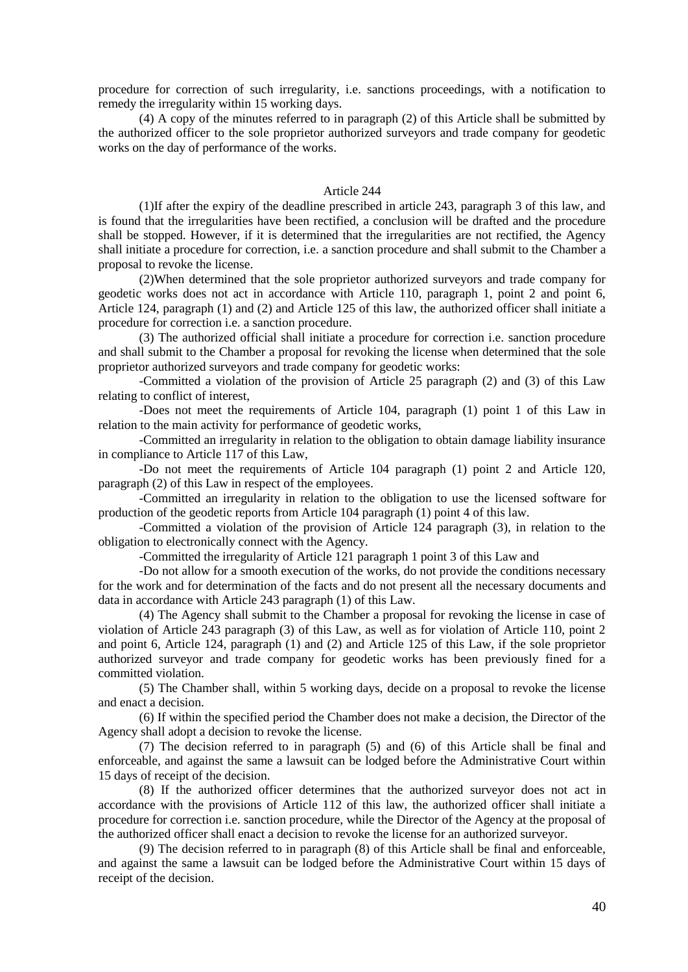procedure for correction of such irregularity, i.e. sanctions proceedings, with a notification to remedy the irregularity within 15 working days.

(4) A copy of the minutes referred to in paragraph (2) of this Article shall be submitted by the authorized officer to the sole proprietor authorized surveyors and trade company for geodetic works on the day of performance of the works.

### Article 244

(1)If after the expiry of the deadline prescribed in article 243, paragraph 3 of this law, and is found that the irregularities have been rectified, a conclusion will be drafted and the procedure shall be stopped. However, if it is determined that the irregularities are not rectified, the Agency shall initiate a procedure for correction, i.e. a sanction procedure and shall submit to the Chamber a proposal to revoke the license.

(2)When determined that the sole proprietor authorized surveyors and trade company for geodetic works does not act in accordance with Article 110, paragraph 1, point 2 and point 6, Article 124, paragraph (1) and (2) and Article 125 of this law, the authorized officer shall initiate a procedure for correction i.e. a sanction procedure.

(3) The authorized official shall initiate a procedure for correction i.e. sanction procedure and shall submit to the Chamber a proposal for revoking the license when determined that the sole proprietor authorized surveyors and trade company for geodetic works:

-Committed a violation of the provision of Article 25 paragraph (2) and (3) of this Law relating to conflict of interest,

-Does not meet the requirements of Article 104, paragraph (1) point 1 of this Law in relation to the main activity for performance of geodetic works,

-Committed an irregularity in relation to the obligation to obtain damage liability insurance in compliance to Article 117 of this Law,

-Do not meet the requirements of Article 104 paragraph (1) point 2 and Article 120, paragraph (2) of this Law in respect of the employees.

-Committed an irregularity in relation to the obligation to use the licensed software for production of the geodetic reports from Article 104 paragraph (1) point 4 of this law.

-Committed a violation of the provision of Article 124 paragraph (3), in relation to the obligation to electronically connect with the Agency.

-Committed the irregularity of Article 121 paragraph 1 point 3 of this Law and

-Do not allow for a smooth execution of the works, do not provide the conditions necessary for the work and for determination of the facts and do not present all the necessary documents and data in accordance with Article 243 paragraph (1) of this Law.

(4) The Agency shall submit to the Chamber a proposal for revoking the license in case of violation of Article 243 paragraph (3) of this Law, as well as for violation of Article 110, point 2 and point 6, Article 124, paragraph (1) and (2) and Article 125 of this Law, if the sole proprietor authorized surveyor and trade company for geodetic works has been previously fined for a committed violation.

(5) The Chamber shall, within 5 working days, decide on a proposal to revoke the license and enact a decision.

(6) If within the specified period the Chamber does not make a decision, the Director of the Agency shall adopt a decision to revoke the license.

(7) The decision referred to in paragraph (5) and (6) of this Article shall be final and enforceable, and against the same a lawsuit can be lodged before the Administrative Court within 15 days of receipt of the decision.

(8) If the authorized officer determines that the authorized surveyor does not act in accordance with the provisions of Article 112 of this law, the authorized officer shall initiate a procedure for correction i.e. sanction procedure, while the Director of the Agency at the proposal of the authorized officer shall enact a decision to revoke the license for an authorized surveyor.

(9) The decision referred to in paragraph (8) of this Article shall be final and enforceable, and against the same a lawsuit can be lodged before the Administrative Court within 15 days of receipt of the decision.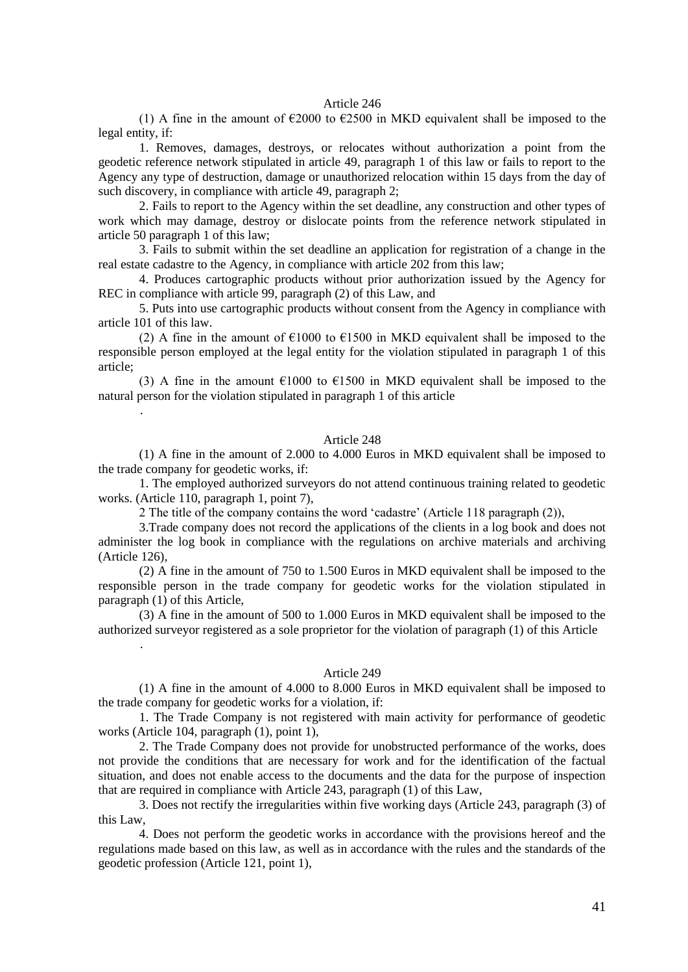#### Article 246

(1) A fine in the amount of  $\epsilon$ 2000 to  $\epsilon$ 2500 in MKD equivalent shall be imposed to the legal entity, if:

1. Removes, damages, destroys, or relocates without authorization a point from the geodetic reference network stipulated in article 49, paragraph 1 of this law or fails to report to the Agency any type of destruction, damage or unauthorized relocation within 15 days from the day of such discovery, in compliance with article 49, paragraph 2;

2. Fails to report to the Agency within the set deadline, any construction and other types of work which may damage, destroy or dislocate points from the reference network stipulated in article 50 paragraph 1 of this law;

3. Fails to submit within the set deadline an application for registration of a change in the real estate cadastre to the Agency, in compliance with article 202 from this law;

4. Produces cartographic products without prior authorization issued by the Agency for REC in compliance with article 99, paragraph (2) of this Law, and

5. Puts into use cartographic products without consent from the Agency in compliance with article 101 of this law.

(2) A fine in the amount of  $\epsilon$ 1000 to  $\epsilon$ 1500 in MKD equivalent shall be imposed to the responsible person employed at the legal entity for the violation stipulated in paragraph 1 of this article;

(3) A fine in the amount  $\epsilon$ 1000 to  $\epsilon$ 1500 in MKD equivalent shall be imposed to the natural person for the violation stipulated in paragraph 1 of this article

.

.

#### Article 248

(1) A fine in the amount of 2.000 to 4.000 Euros in MKD equivalent shall be imposed to the trade company for geodetic works, if:

1. The employed authorized surveyors do not attend continuous training related to geodetic works. (Article 110, paragraph 1, point 7),

2 The title of the company contains the word "cadastre" (Article 118 paragraph (2)),

3.Trade company does not record the applications of the clients in a log book and does not administer the log book in compliance with the regulations on archive materials and archiving (Article 126),

(2) A fine in the amount of 750 to 1.500 Euros in MKD equivalent shall be imposed to the responsible person in the trade company for geodetic works for the violation stipulated in paragraph (1) of this Article,

(3) A fine in the amount of 500 to 1.000 Euros in MKD equivalent shall be imposed to the authorized surveyor registered as a sole proprietor for the violation of paragraph (1) of this Article

#### Article 249

(1) A fine in the amount of 4.000 to 8.000 Euros in MKD equivalent shall be imposed to the trade company for geodetic works for a violation, if:

1. The Trade Company is not registered with main activity for performance of geodetic works (Article 104, paragraph (1), point 1),

2. The Trade Company does not provide for unobstructed performance of the works, does not provide the conditions that are necessary for work and for the identification of the factual situation, and does not enable access to the documents and the data for the purpose of inspection that are required in compliance with Article 243, paragraph (1) of this Law,

3. Does not rectify the irregularities within five working days (Article 243, paragraph (3) of this Law,

4. Does not perform the geodetic works in accordance with the provisions hereof and the regulations made based on this law, as well as in accordance with the rules and the standards of the geodetic profession (Article 121, point 1),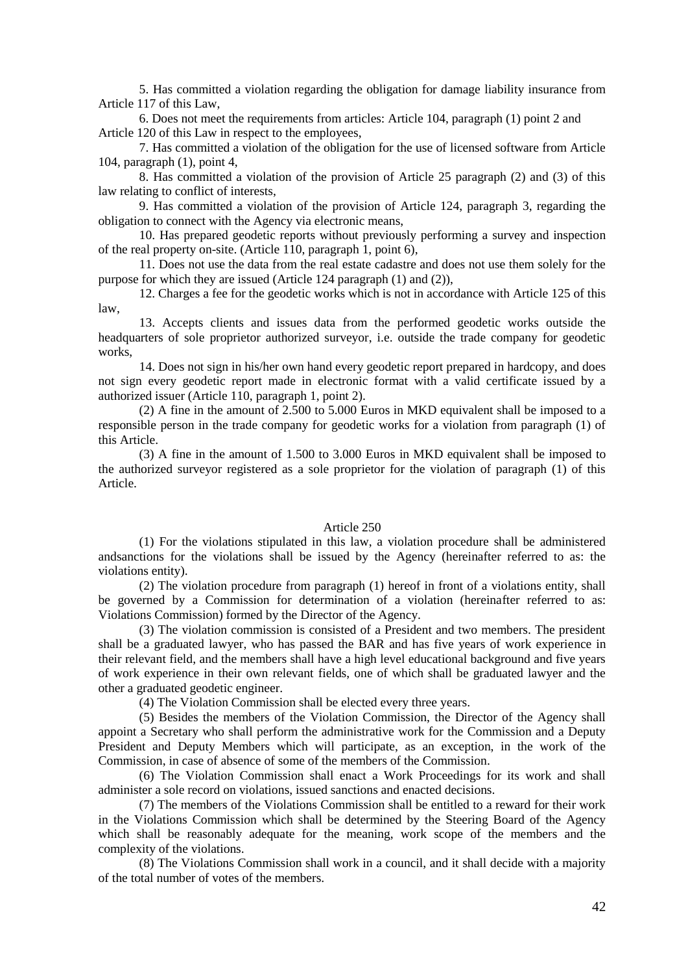5. Has committed a violation regarding the obligation for damage liability insurance from Article 117 of this Law,

6. Does not meet the requirements from articles: Article 104, paragraph (1) point 2 and Article 120 of this Law in respect to the employees,

7. Has committed a violation of the obligation for the use of licensed software from Article 104, paragraph (1), point 4,

8. Has committed a violation of the provision of Article 25 paragraph (2) and (3) of this law relating to conflict of interests,

9. Has committed a violation of the provision of Article 124, paragraph 3, regarding the obligation to connect with the Agency via electronic means,

10. Has prepared geodetic reports without previously performing a survey and inspection of the real property on-site. (Article 110, paragraph 1, point 6),

11. Does not use the data from the real estate cadastre and does not use them solely for the purpose for which they are issued (Article 124 paragraph (1) and (2)),

12. Charges a fee for the geodetic works which is not in accordance with Article 125 of this law,

13. Accepts clients and issues data from the performed geodetic works outside the headquarters of sole proprietor authorized surveyor, i.e. outside the trade company for geodetic works,

14. Does not sign in his/her own hand every geodetic report prepared in hardcopy, and does not sign every geodetic report made in electronic format with a valid certificate issued by a authorized issuer (Article 110, paragraph 1, point 2).

(2) A fine in the amount of 2.500 to 5.000 Euros in MKD equivalent shall be imposed to a responsible person in the trade company for geodetic works for a violation from paragraph (1) of this Article.

(3) A fine in the amount of 1.500 to 3.000 Euros in MKD equivalent shall be imposed to the authorized surveyor registered as a sole proprietor for the violation of paragraph (1) of this Article.

### Article 250

(1) For the violations stipulated in this law, a violation procedure shall be administered andsanctions for the violations shall be issued by the Agency (hereinafter referred to as: the violations entity).

(2) The violation procedure from paragraph (1) hereof in front of a violations entity, shall be governed by a Commission for determination of a violation (hereinafter referred to as: Violations Commission) formed by the Director of the Agency.

(3) The violation commission is consisted of a President and two members. The president shall be a graduated lawyer, who has passed the BAR and has five years of work experience in their relevant field, and the members shall have a high level educational background and five years of work experience in their own relevant fields, one of which shall be graduated lawyer and the other a graduated geodetic engineer.

(4) The Violation Commission shall be elected every three years.

(5) Besides the members of the Violation Commission, the Director of the Agency shall appoint a Secretary who shall perform the administrative work for the Commission and a Deputy President and Deputy Members which will participate, as an exception, in the work of the Commission, in case of absence of some of the members of the Commission.

(6) The Violation Commission shall enact a Work Proceedings for its work and shall administer a sole record on violations, issued sanctions and enacted decisions.

(7) The members of the Violations Commission shall be entitled to a reward for their work in the Violations Commission which shall be determined by the Steering Board of the Agency which shall be reasonably adequate for the meaning, work scope of the members and the complexity of the violations.

(8) The Violations Commission shall work in a council, and it shall decide with a majority of the total number of votes of the members.